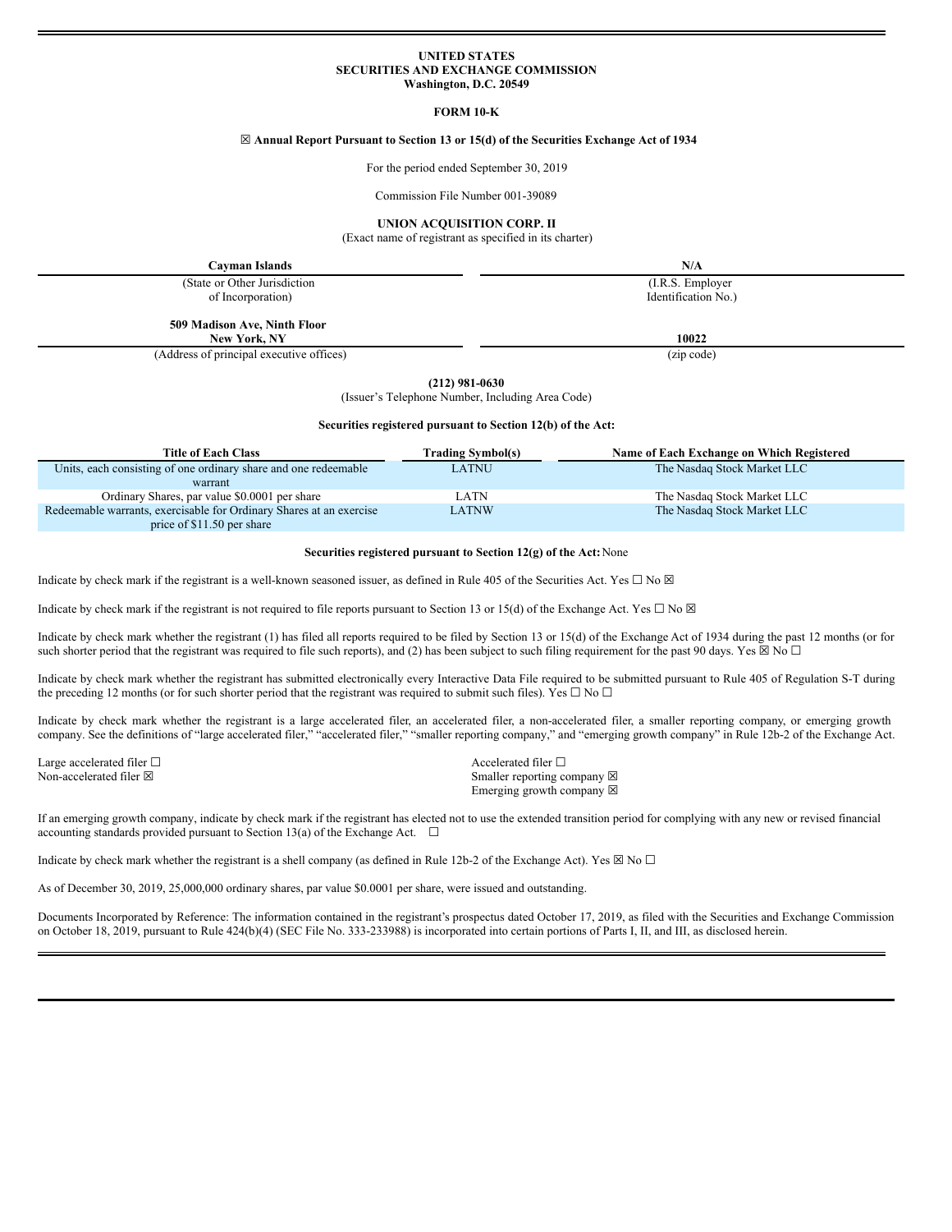#### **UNITED STATES SECURITIES AND EXCHANGE COMMISSION Washington, D.C. 20549**

#### **FORM 10-K**

#### ☒ **Annual Report Pursuant to Section 13 or 15(d) of the Securities Exchange Act of 1934**

For the period ended September 30, 2019

Commission File Number 001-39089

**UNION ACQUISITION CORP. II**

(Exact name of registrant as specified in its charter)

**Cayman Islands N/A** (State or Other Jurisdiction of Incorporation) (I.R.S. Employer Identification No.) **509 Madison Ave, Ninth Floor New York, NY 10022**

(Address of principal executive offices) (zip code)

**(212) 981-0630**

(Issuer's Telephone Number, Including Area Code)

#### **Securities registered pursuant to Section 12(b) of the Act:**

| <b>Title of Each Class</b>                                          | <b>Trading Symbol(s)</b> | Name of Each Exchange on Which Registered |
|---------------------------------------------------------------------|--------------------------|-------------------------------------------|
| Units, each consisting of one ordinary share and one redeemable     | <b>LATNU</b>             | The Nasdaq Stock Market LLC               |
| warrant                                                             |                          |                                           |
| Ordinary Shares, par value \$0.0001 per share                       | LATN                     | The Nasdag Stock Market LLC               |
| Redeemable warrants, exercisable for Ordinary Shares at an exercise | LATNW                    | The Nasdaq Stock Market LLC               |
| price of \$11.50 per share                                          |                          |                                           |

#### **Securities registered pursuant to Section 12(g) of the Act:**None

Indicate by check mark if the registrant is a well-known seasoned issuer, as defined in Rule 405 of the Securities Act. Yes  $\Box$  No  $\boxtimes$ 

Indicate by check mark if the registrant is not required to file reports pursuant to Section 13 or 15(d) of the Exchange Act. Yes  $\Box$  No  $\boxtimes$ 

Indicate by check mark whether the registrant (1) has filed all reports required to be filed by Section 13 or 15(d) of the Exchange Act of 1934 during the past 12 months (or for such shorter period that the registrant was required to file such reports), and (2) has been subject to such filing requirement for the past 90 days. Yes  $\boxtimes$  No  $\Box$ 

Indicate by check mark whether the registrant has submitted electronically every Interactive Data File required to be submitted pursuant to Rule 405 of Regulation S-T during the preceding 12 months (or for such shorter period that the registrant was required to submit such files). Yes  $\Box$  No  $\Box$ 

Indicate by check mark whether the registrant is a large accelerated filer, an accelerated filer, a non-accelerated filer, a smaller reporting company, or emerging growth company. See the definitions of "large accelerated filer," "accelerated filer," "smaller reporting company," and "emerging growth company" in Rule 12b-2 of the Exchange Act.

Large accelerated filer □<br>
Non-accelerated filer □<br>
Non-accelerated filer ⊠

Smaller reporting company  $\boxtimes$ Emerging growth company  $\boxtimes$ 

If an emerging growth company, indicate by check mark if the registrant has elected not to use the extended transition period for complying with any new or revised financial accounting standards provided pursuant to Section 13(a) of the Exchange Act.  $\Box$ 

Indicate by check mark whether the registrant is a shell company (as defined in Rule 12b-2 of the Exchange Act). Yes  $\boxtimes$  No  $\Box$ 

As of December 30, 2019, 25,000,000 ordinary shares, par value \$0.0001 per share, were issued and outstanding.

Documents Incorporated by Reference: The information contained in the registrant's prospectus dated October 17, 2019, as filed with the Securities and Exchange Commission on October 18, 2019, pursuant to Rule 424(b)(4) (SEC File No. 333-233988) is incorporated into certain portions of Parts I, II, and III, as disclosed herein.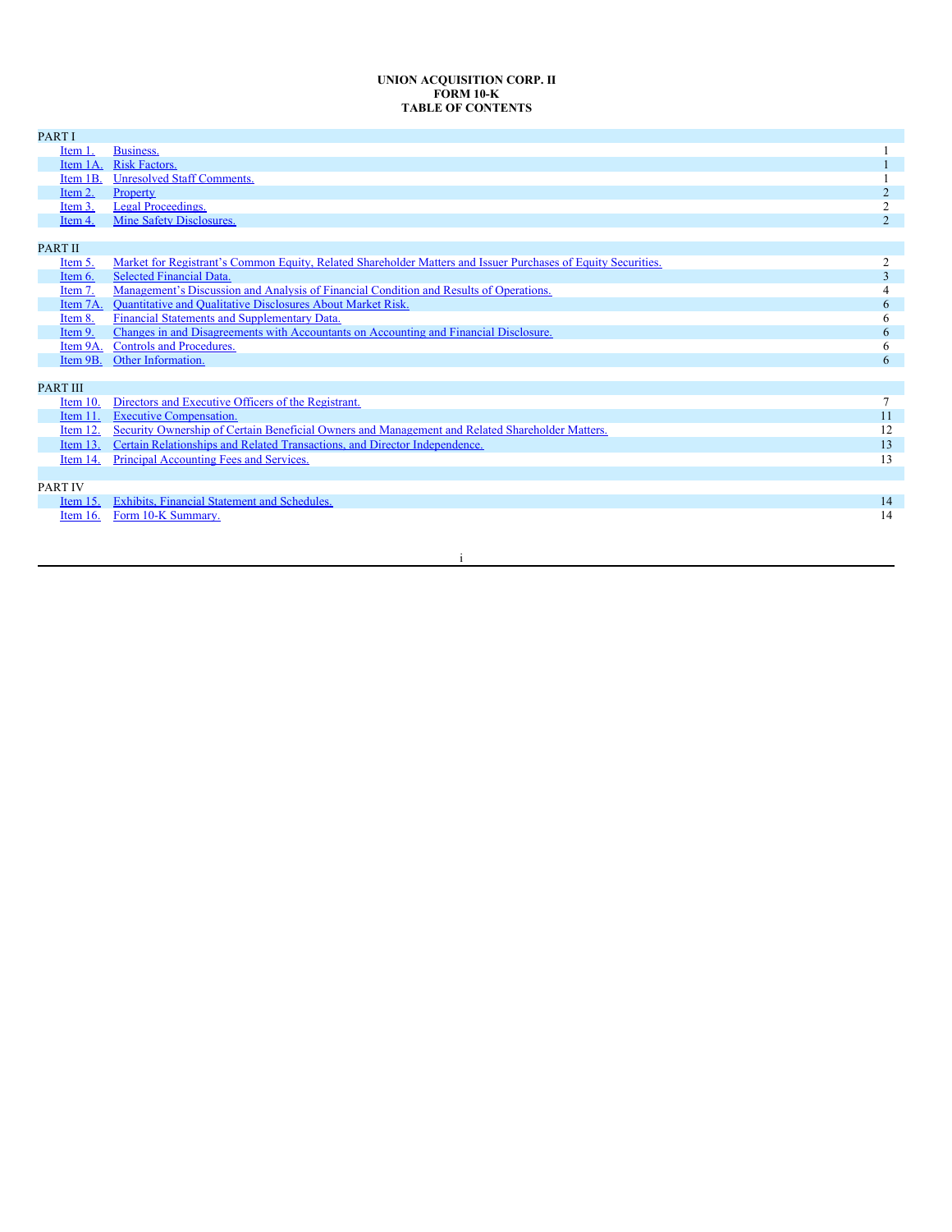## **UNION ACQUISITION CORP. II FORM 10-K TABLE OF CONTENTS**

| PART I          |                                                                                                               |                |
|-----------------|---------------------------------------------------------------------------------------------------------------|----------------|
| Item 1.         | Business.                                                                                                     |                |
| Item 1A.        | <b>Risk Factors.</b>                                                                                          |                |
| Item 1B.        | <b>Unresolved Staff Comments.</b>                                                                             |                |
| Item 2.         | Property                                                                                                      |                |
| Item 3.         | <b>Legal Proceedings.</b>                                                                                     | ↑              |
| Item 4.         | Mine Safety Disclosures.                                                                                      | $\mathfrak{D}$ |
| PART II         |                                                                                                               |                |
| Item 5.         | Market for Registrant's Common Equity, Related Shareholder Matters and Issuer Purchases of Equity Securities. | $\overline{2}$ |
| Item $6.$       | <b>Selected Financial Data.</b>                                                                               |                |
| Item 7.         | Management's Discussion and Analysis of Financial Condition and Results of Operations.                        |                |
| Item 7A.        | <b>Ouantitative and Oualitative Disclosures About Market Risk.</b>                                            | 6              |
| Item 8.         | Financial Statements and Supplementary Data.                                                                  | 6              |
| Item 9.         | Changes in and Disagreements with Accountants on Accounting and Financial Disclosure.                         | 6              |
| Item 9A.        | Controls and Procedures.                                                                                      | 6              |
| Item 9B.        | Other Information.                                                                                            | 6              |
| <b>PART III</b> |                                                                                                               |                |
| Item 10.        | Directors and Executive Officers of the Registrant.                                                           |                |
| Item $11.$      | <b>Executive Compensation.</b>                                                                                | 11             |
| Item 12.        | Security Ownership of Certain Beneficial Owners and Management and Related Shareholder Matters.               | 12             |
| Item 13.        | Certain Relationships and Related Transactions, and Director Independence.                                    | 13             |
| Item $14$ .     | Principal Accounting Fees and Services.                                                                       | 13             |
|                 |                                                                                                               |                |
| <b>PART IV</b>  |                                                                                                               |                |
| Item 15.        | Exhibits, Financial Statement and Schedules.                                                                  | 14             |
| Item $16$ .     | Form 10-K Summary.                                                                                            | 14             |
|                 |                                                                                                               |                |

i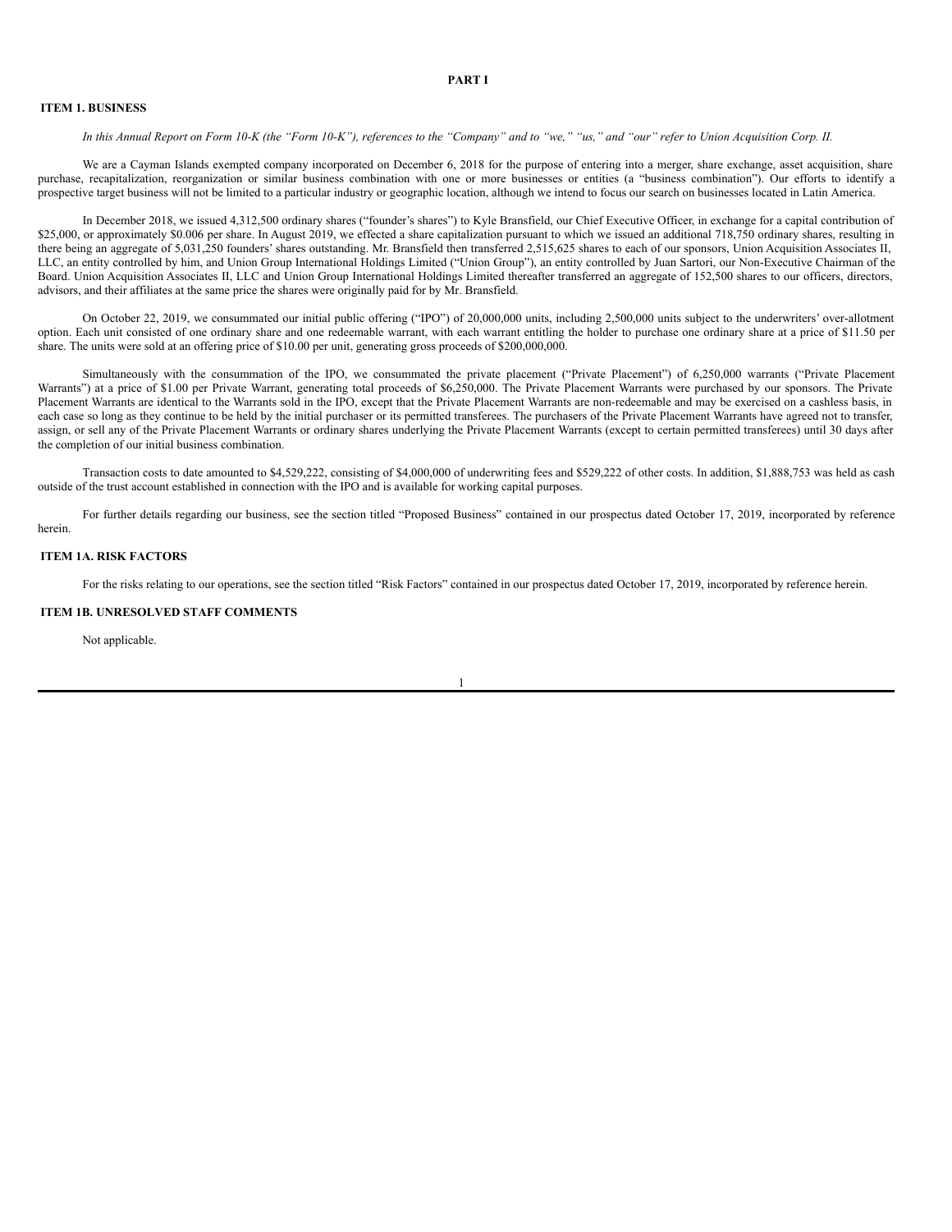#### **PART I**

### <span id="page-2-0"></span>**ITEM 1. BUSINESS**

## In this Annual Report on Form 10-K (the "Form 10-K"), references to the "Company" and to "we," "us," and "our" refer to Union Acquisition Corp. II.

We are a Cayman Islands exempted company incorporated on December 6, 2018 for the purpose of entering into a merger, share exchange, asset acquisition, share purchase, recapitalization, reorganization or similar business combination with one or more businesses or entities (a "business combination"). Our efforts to identify a prospective target business will not be limited to a particular industry or geographic location, although we intend to focus our search on businesses located in Latin America.

In December 2018, we issued 4,312,500 ordinary shares ("founder's shares") to Kyle Bransfield, our Chief Executive Officer, in exchange for a capital contribution of \$25,000, or approximately \$0,006 per share. In August 2019, we effected a share capitalization pursuant to which we issued an additional 718,750 ordinary shares, resulting in there being an aggregate of 5,031,250 founders' shares outstanding. Mr. Bransfield then transferred 2,515,625 shares to each of our sponsors, Union Acquisition Associates II, LLC, an entity controlled by him, and Union Group International Holdings Limited ("Union Group"), an entity controlled by Juan Sartori, our Non-Executive Chairman of the Board. Union Acquisition Associates II, LLC and Union Group International Holdings Limited thereafter transferred an aggregate of 152,500 shares to our officers, directors, advisors, and their affiliates at the same price the shares were originally paid for by Mr. Bransfield.

On October 22, 2019, we consummated our initial public offering ("IPO") of 20,000,000 units, including 2,500,000 units subject to the underwriters' over-allotment option. Each unit consisted of one ordinary share and one redeemable warrant, with each warrant entitling the holder to purchase one ordinary share at a price of \$11.50 per share. The units were sold at an offering price of \$10.00 per unit, generating gross proceeds of \$200,000,000.

Simultaneously with the consummation of the IPO, we consummated the private placement ("Private Placement") of 6,250,000 warrants ("Private Placement Warrants") at a price of \$1.00 per Private Warrant, generating total proceeds of \$6,250,000. The Private Placement Warrants were purchased by our sponsors. The Private Placement Warrants are identical to the Warrants sold in the IPO, except that the Private Placement Warrants are non-redeemable and may be exercised on a cashless basis, in each case so long as they continue to be held by the initial purchaser or its permitted transferees. The purchasers of the Private Placement Warrants have agreed not to transfer, assign, or sell any of the Private Placement Warrants or ordinary shares underlying the Private Placement Warrants (except to certain permitted transferees) until 30 days after the completion of our initial business combination.

Transaction costs to date amounted to \$4,529,222, consisting of \$4,000,000 of underwriting fees and \$529,222 of other costs. In addition, \$1,888,753 was held as cash outside of the trust account established in connection with the IPO and is available for working capital purposes.

For further details regarding our business, see the section titled "Proposed Business" contained in our prospectus dated October 17, 2019, incorporated by reference herein.

# <span id="page-2-1"></span>**ITEM 1A. RISK FACTORS**

For the risks relating to our operations, see the section titled "Risk Factors" contained in our prospectus dated October 17, 2019, incorporated by reference herein.

#### <span id="page-2-2"></span>**ITEM 1B. UNRESOLVED STAFF COMMENTS**

Not applicable.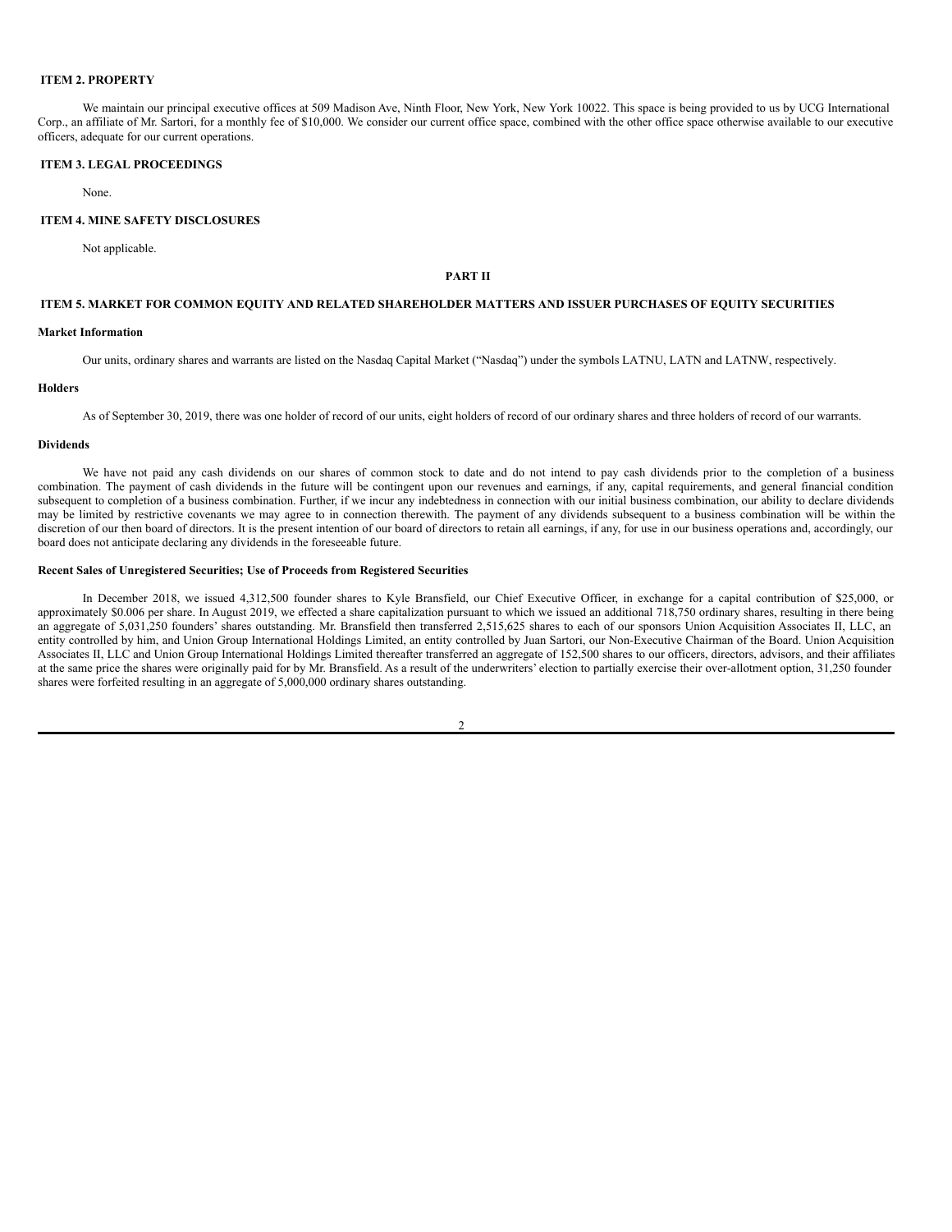# <span id="page-3-0"></span>**ITEM 2. PROPERTY**

We maintain our principal executive offices at 509 Madison Ave. Ninth Floor, New York, New York 10022. This space is being provided to us by UCG International Corp., an affiliate of Mr. Sartori, for a monthly fee of \$10,000. We consider our current office space, combined with the other office space otherwise available to our executive officers, adequate for our current operations.

### <span id="page-3-1"></span>**ITEM 3. LEGAL PROCEEDINGS**

None.

### <span id="page-3-2"></span>**ITEM 4. MINE SAFETY DISCLOSURES**

Not applicable.

# **PART II**

### <span id="page-3-3"></span>**ITEM 5. MARKET FOR COMMON EQUITY AND RELATED SHAREHOLDER MATTERS AND ISSUER PURCHASES OF EQUITY SECURITIES**

### **Market Information**

Our units, ordinary shares and warrants are listed on the Nasdaq Capital Market ("Nasdaq") under the symbols LATNU, LATN and LATNW, respectively.

# **Holders**

As of September 30, 2019, there was one holder of record of our units, eight holders of record of our ordinary shares and three holders of record of our warrants.

## **Dividends**

We have not paid any cash dividends on our shares of common stock to date and do not intend to pay cash dividends prior to the completion of a business combination. The payment of cash dividends in the future will be contingent upon our revenues and earnings, if any, capital requirements, and general financial condition subsequent to completion of a business combination. Further, if we incur any indebtedness in connection with our initial business combination, our ability to declare dividends may be limited by restrictive covenants we may agree to in connection therewith. The payment of any dividends subsequent to a business combination will be within the discretion of our then board of directors. It is the present intention of our board of directors to retain all earnings, if any, for use in our business operations and, accordingly, our board does not anticipate declaring any dividends in the foreseeable future.

#### **Recent Sales of Unregistered Securities; Use of Proceeds from Registered Securities**

In December 2018, we issued 4,312,500 founder shares to Kyle Bransfield, our Chief Executive Officer, in exchange for a capital contribution of \$25,000, or approximately \$0.006 per share. In August 2019, we effected a share capitalization pursuant to which we issued an additional 718,750 ordinary shares, resulting in there being an aggregate of 5,031,250 founders' shares outstanding. Mr. Bransfield then transferred 2,515,625 shares to each of our sponsors Union Acquisition Associates II, LLC, an entity controlled by him, and Union Group International Holdings Limited, an entity controlled by Juan Sartori, our Non-Executive Chairman of the Board. Union Acquisition Associates II, LLC and Union Group International Holdings Limited thereafter transferred an aggregate of 152,500 shares to our officers, directors, advisors, and their affiliates at the same price the shares were originally paid for by Mr. Bransfield. As a result of the underwriters' election to partially exercise their over-allotment option, 31,250 founder shares were forfeited resulting in an aggregate of 5,000,000 ordinary shares outstanding.

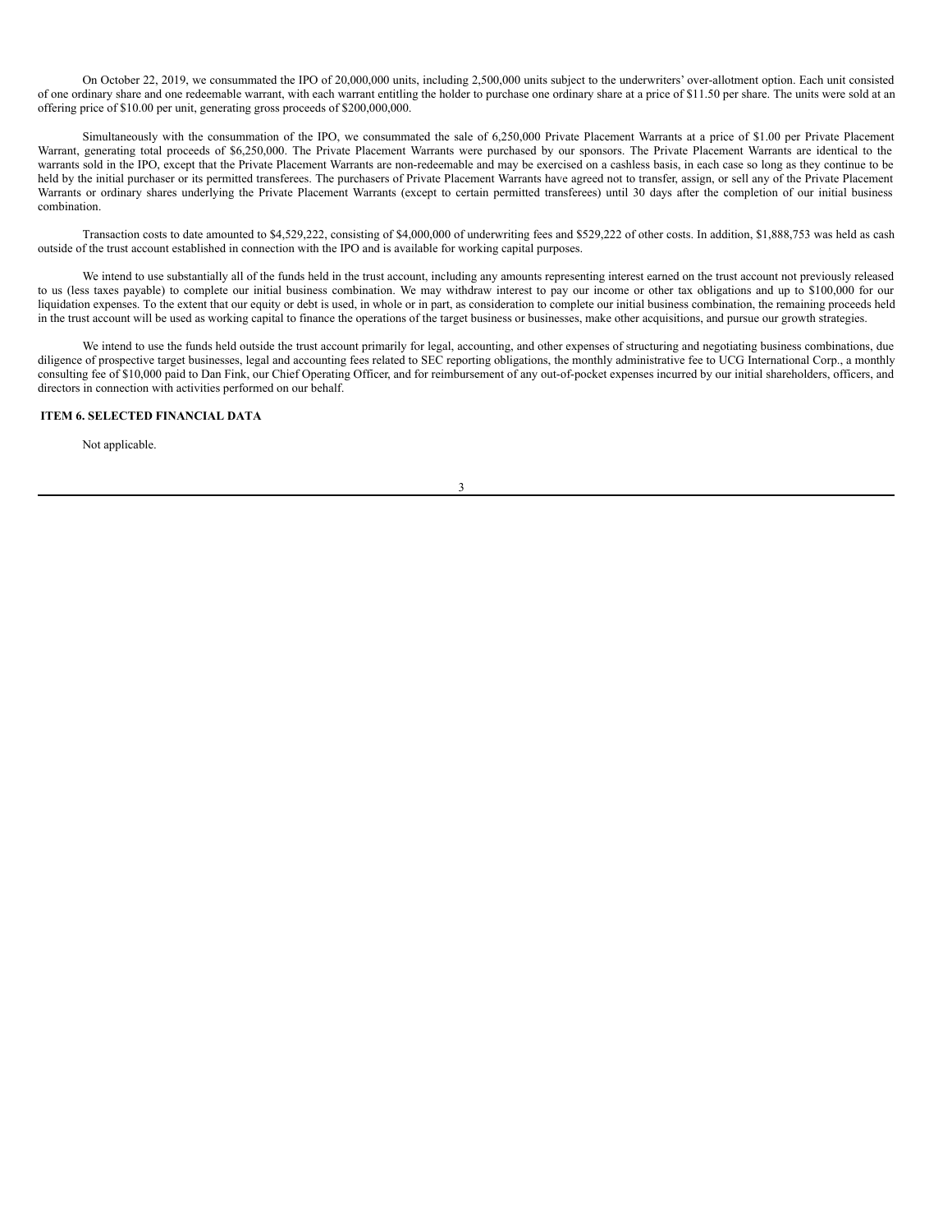On October 22, 2019, we consummated the IPO of 20,000,000 units, including 2,500,000 units subject to the underwriters' over-allotment option. Each unit consisted of one ordinary share and one redeemable warrant, with each warrant entitling the holder to purchase one ordinary share at a price of \$11.50 per share. The units were sold at an offering price of \$10.00 per unit, generating gross proceeds of \$200,000,000.

Simultaneously with the consummation of the IPO, we consummated the sale of 6,250,000 Private Placement Warrants at a price of \$1.00 per Private Placement Warrant, generating total proceeds of \$6,250,000. The Private Placement Warrants were purchased by our sponsors. The Private Placement Warrants are identical to the warrants sold in the IPO, except that the Private Placement Warrants are non-redeemable and may be exercised on a cashless basis, in each case so long as they continue to be held by the initial purchaser or its permitted transferees. The purchasers of Private Placement Warrants have agreed not to transfer, assign, or sell any of the Private Placement Warrants or ordinary shares underlying the Private Placement Warrants (except to certain permitted transferees) until 30 days after the completion of our initial business combination.

Transaction costs to date amounted to \$4,529,222, consisting of \$4,000,000 of underwriting fees and \$529,222 of other costs. In addition, \$1,888,753 was held as cash outside of the trust account established in connection with the IPO and is available for working capital purposes.

We intend to use substantially all of the funds held in the trust account, including any amounts representing interest earned on the trust account not previously released to us (less taxes payable) to complete our initial business combination. We may withdraw interest to pay our income or other tax obligations and up to \$100,000 for our liquidation expenses. To the extent that our equity or debt is used, in whole or in part, as consideration to complete our initial business combination, the remaining proceeds held in the trust account will be used as working capital to finance the operations of the target business or businesses, make other acquisitions, and pursue our growth strategies.

We intend to use the funds held outside the trust account primarily for legal, accounting, and other expenses of structuring and negotiating business combinations, due diligence of prospective target businesses, legal and accounting fees related to SEC reporting obligations, the monthly administrative fee to UCG International Corp., a monthly consulting fee of \$10,000 paid to Dan Fink, our Chief Operating Officer, and for reimbursement of any out-of-pocket expenses incurred by our initial shareholders, officers, and directors in connection with activities performed on our behalf.

# <span id="page-4-0"></span>**ITEM 6. SELECTED FINANCIAL DATA**

Not applicable.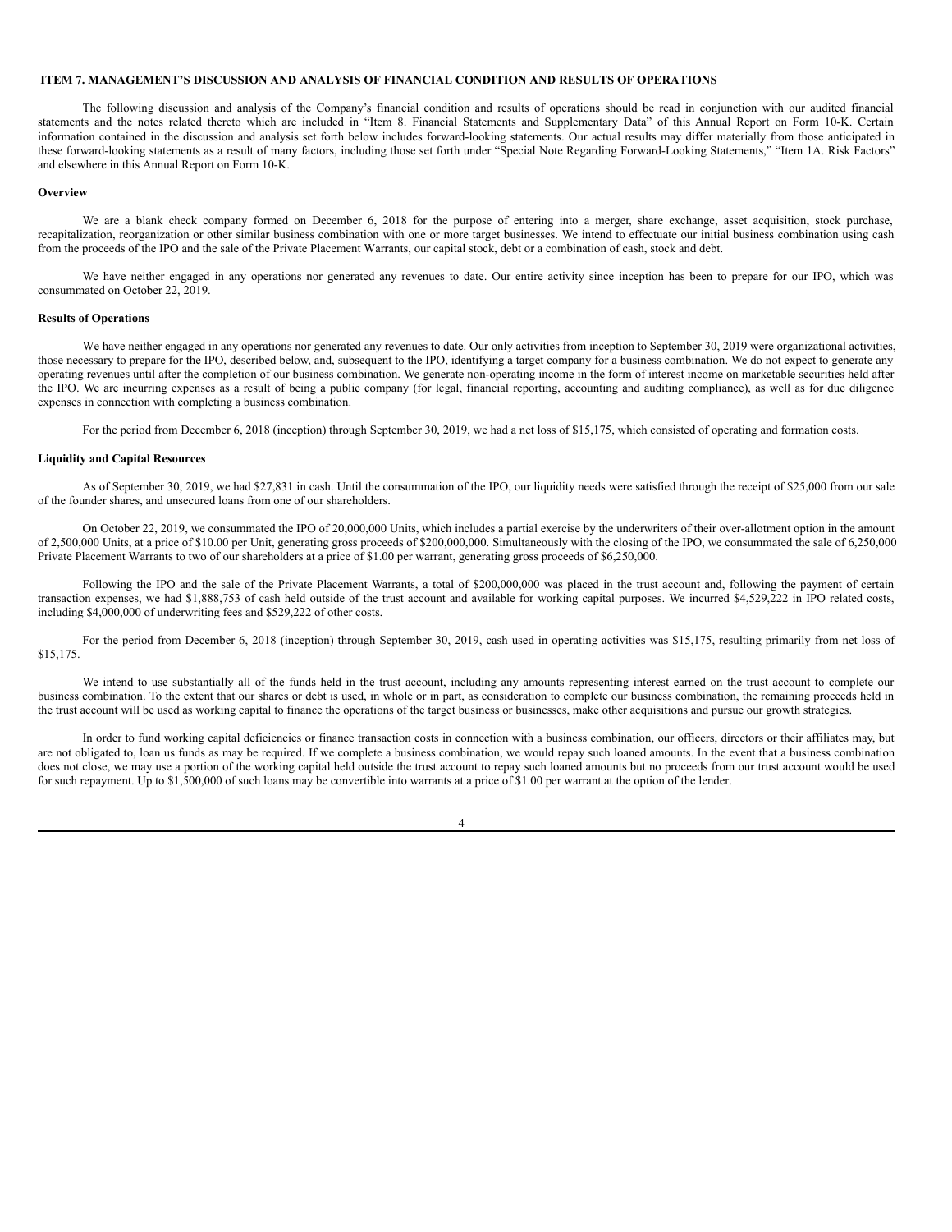### <span id="page-5-0"></span>**ITEM 7. MANAGEMENT'S DISCUSSION AND ANALYSIS OF FINANCIAL CONDITION AND RESULTS OF OPERATIONS**

The following discussion and analysis of the Company's financial condition and results of operations should be read in conjunction with our audited financial statements and the notes related thereto which are included in "Item 8. Financial Statements and Supplementary Data" of this Annual Report on Form 10-K. Certain information contained in the discussion and analysis set forth below includes forward-looking statements. Our actual results may differ materially from those anticipated in these forward-looking statements as a result of many factors, including those set forth under "Special Note Regarding Forward-Looking Statements," "Item 1A. Risk Factors" and elsewhere in this Annual Report on Form 10-K.

#### **Overview**

We are a blank check company formed on December 6, 2018 for the purpose of entering into a merger, share exchange, asset acquisition, stock purchase, recapitalization, reorganization or other similar business combination with one or more target businesses. We intend to effectuate our initial business combination using cash from the proceeds of the IPO and the sale of the Private Placement Warrants, our capital stock, debt or a combination of cash, stock and debt.

We have neither engaged in any operations nor generated any revenues to date. Our entire activity since inception has been to prepare for our IPO, which was consummated on October 22, 2019.

#### **Results of Operations**

We have neither engaged in any operations nor generated any revenues to date. Our only activities from inception to September 30, 2019 were organizational activities. those necessary to prepare for the IPO, described below, and, subsequent to the IPO, identifying a target company for a business combination. We do not expect to generate any operating revenues until after the completion of our business combination. We generate non-operating income in the form of interest income on marketable securities held after the IPO. We are incurring expenses as a result of being a public company (for legal, financial reporting, accounting and auditing compliance), as well as for due diligence expenses in connection with completing a business combination.

For the period from December 6, 2018 (inception) through September 30, 2019, we had a net loss of \$15,175, which consisted of operating and formation costs.

#### **Liquidity and Capital Resources**

As of September 30, 2019, we had \$27,831 in cash. Until the consummation of the IPO, our liquidity needs were satisfied through the receipt of \$25,000 from our sale of the founder shares, and unsecured loans from one of our shareholders.

On October 22, 2019, we consummated the IPO of 20,000,000 Units, which includes a partial exercise by the underwriters of their over-allotment option in the amount of 2,500,000 Units, at a price of \$10.00 per Unit, generating gross proceeds of \$200,000,000. Simultaneously with the closing of the IPO, we consummated the sale of 6,250,000 Private Placement Warrants to two of our shareholders at a price of \$1.00 per warrant, generating gross proceeds of \$6,250,000.

Following the IPO and the sale of the Private Placement Warrants, a total of \$200,000,000 was placed in the trust account and, following the payment of certain transaction expenses, we had \$1,888,753 of cash held outside of the trust account and available for working capital purposes. We incurred \$4,529,222 in IPO related costs, including \$4,000,000 of underwriting fees and \$529,222 of other costs.

For the period from December 6, 2018 (inception) through September 30, 2019, cash used in operating activities was \$15,175, resulting primarily from net loss of \$15,175.

We intend to use substantially all of the funds held in the trust account, including any amounts representing interest earned on the trust account to complete our business combination. To the extent that our shares or debt is used, in whole or in part, as consideration to complete our business combination, the remaining proceeds held in the trust account will be used as working capital to finance the operations of the target business or businesses, make other acquisitions and pursue our growth strategies.

In order to fund working capital deficiencies or finance transaction costs in connection with a business combination, our officers, directors or their affiliates may, but are not obligated to, loan us funds as may be required. If we complete a business combination, we would repay such loaned amounts. In the event that a business combination does not close, we may use a portion of the working capital held outside the trust account to repay such loaned amounts but no proceeds from our trust account would be used for such repayment. Up to \$1,500,000 of such loans may be convertible into warrants at a price of \$1.00 per warrant at the option of the lender.

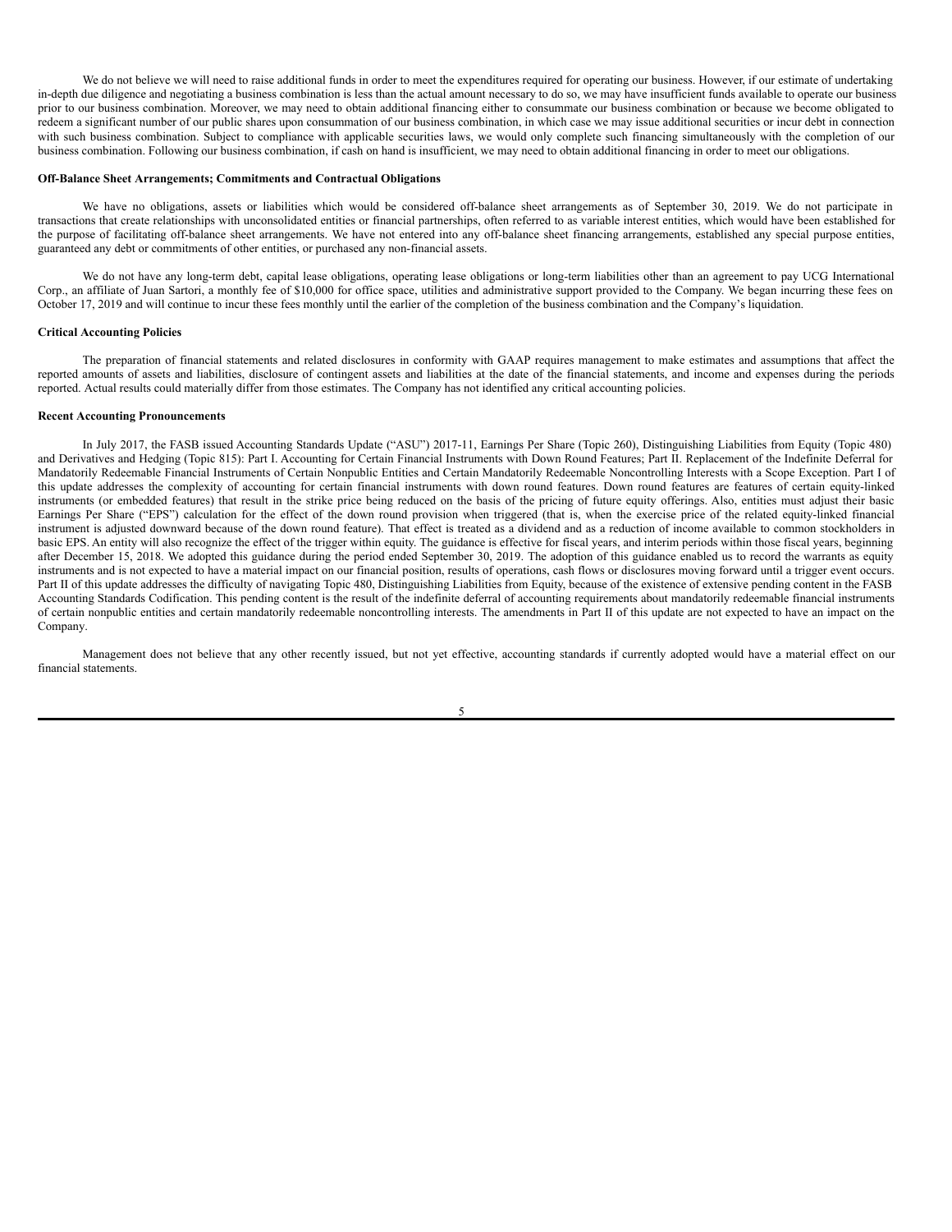We do not believe we will need to raise additional funds in order to meet the expenditures required for operating our business. However, if our estimate of undertaking in-depth due diligence and negotiating a business combination is less than the actual amount necessary to do so, we may have insufficient funds available to operate our business prior to our business combination. Moreover, we may need to obtain additional financing either to consummate our business combination or because we become obligated to redeem a significant number of our public shares upon consummation of our business combination, in which case we may issue additional securities or incur debt in connection with such business combination. Subject to compliance with applicable securities laws, we would only complete such financing simultaneously with the completion of our business combination. Following our business combination, if cash on hand is insufficient, we may need to obtain additional financing in order to meet our obligations.

### **Off-Balance Sheet Arrangements; Commitments and Contractual Obligations**

We have no obligations, assets or liabilities which would be considered off-balance sheet arrangements as of September 30, 2019. We do not participate in transactions that create relationships with unconsolidated entities or financial partnerships, often referred to as variable interest entities, which would have been established for the purpose of facilitating off-balance sheet arrangements. We have not entered into any off-balance sheet financing arrangements, established any special purpose entities, guaranteed any debt or commitments of other entities, or purchased any non-financial assets.

We do not have any long-term debt, capital lease obligations, operating lease obligations or long-term liabilities other than an agreement to pay UCG International Corp., an affiliate of Juan Sartori, a monthly fee of \$10,000 for office space, utilities and administrative support provided to the Company. We began incurring these fees on October 17, 2019 and will continue to incur these fees monthly until the earlier of the completion of the business combination and the Company's liquidation.

#### **Critical Accounting Policies**

The preparation of financial statements and related disclosures in conformity with GAAP requires management to make estimates and assumptions that affect the reported amounts of assets and liabilities, disclosure of contingent assets and liabilities at the date of the financial statements, and income and expenses during the periods reported. Actual results could materially differ from those estimates. The Company has not identified any critical accounting policies.

### **Recent Accounting Pronouncements**

In July 2017, the FASB issued Accounting Standards Update ("ASU") 2017-11, Earnings Per Share (Topic 260), Distinguishing Liabilities from Equity (Topic 480) and Derivatives and Hedging (Topic 815): Part I. Accounting for Certain Financial Instruments with Down Round Features; Part II. Replacement of the Indefinite Deferral for Mandatorily Redeemable Financial Instruments of Certain Nonpublic Entities and Certain Mandatorily Redeemable Noncontrolling Interests with a Scope Exception. Part I of this update addresses the complexity of accounting for certain financial instruments with down round features. Down round features are features of certain equity-linked instruments (or embedded features) that result in the strike price being reduced on the basis of the pricing of future equity offerings. Also, entities must adjust their basic Earnings Per Share ("EPS") calculation for the effect of the down round provision when triggered (that is, when the exercise price of the related equity-linked financial instrument is adjusted downward because of the down round feature). That effect is treated as a dividend and as a reduction of income available to common stockholders in basic EPS. An entity will also recognize the effect of the trigger within equity. The guidance is effective for fiscal years, and interim periods within those fiscal years, beginning after December 15, 2018. We adopted this guidance during the period ended September 30, 2019. The adoption of this guidance enabled us to record the warrants as equity instruments and is not expected to have a material impact on our financial position, results of operations, cash flows or disclosures moving forward until a trigger event occurs. Part II of this update addresses the difficulty of navigating Topic 480, Distinguishing Liabilities from Equity, because of the existence of extensive pending content in the FASB Accounting Standards Codification. This pending content is the result of the indefinite deferral of accounting requirements about mandatorily redeemable financial instruments of certain nonpublic entities and certain mandatorily redeemable noncontrolling interests. The amendments in Part II of this update are not expected to have an impact on the Company.

Management does not believe that any other recently issued, but not yet effective, accounting standards if currently adopted would have a material effect on our financial statements.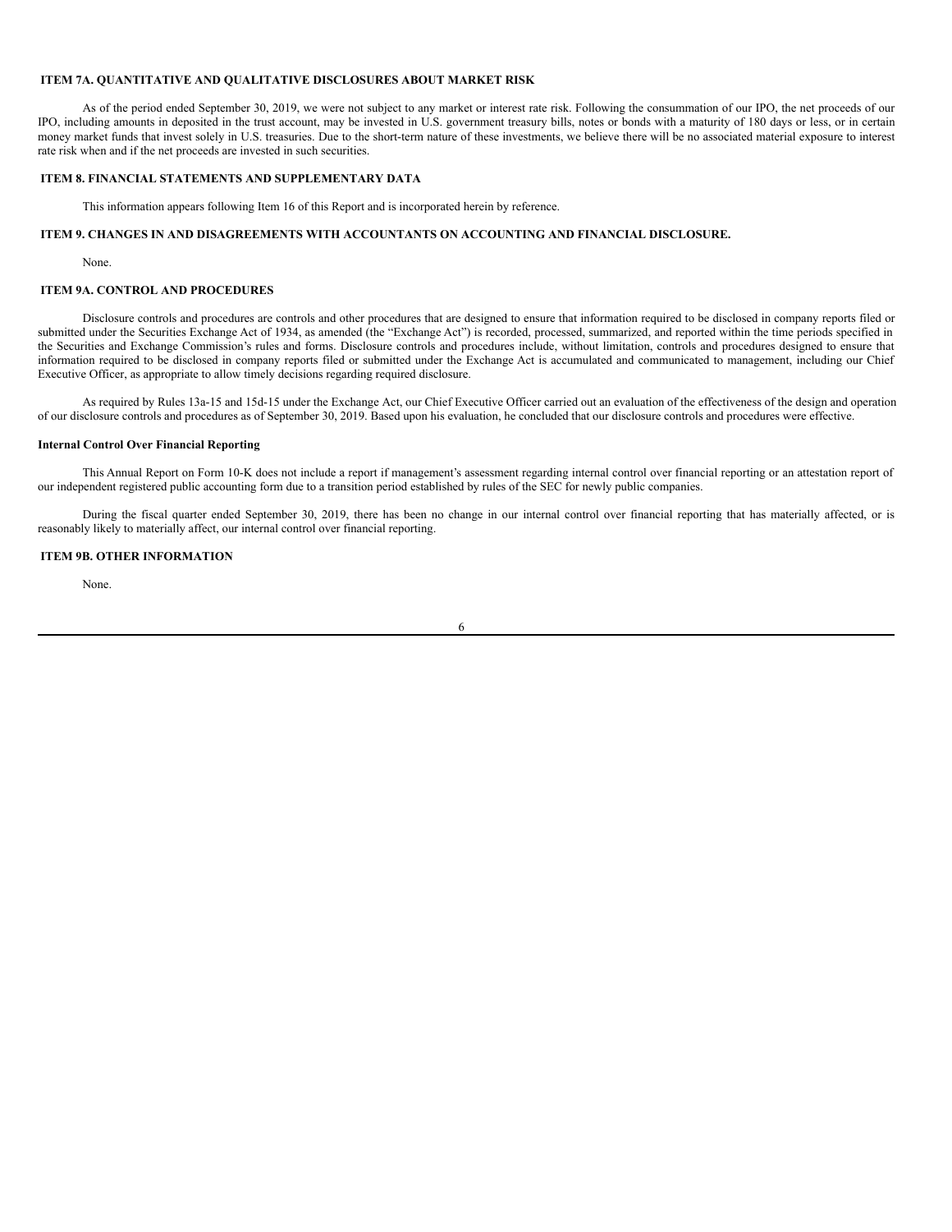# <span id="page-7-0"></span>**ITEM 7A. QUANTITATIVE AND QUALITATIVE DISCLOSURES ABOUT MARKET RISK**

As of the period ended September 30, 2019, we were not subject to any market or interest rate risk. Following the consummation of our IPO, the net proceeds of our IPO, including amounts in deposited in the trust account, may be invested in U.S. government treasury bills, notes or bonds with a maturity of 180 days or less, or in certain money market funds that invest solely in U.S. treasuries. Due to the short-term nature of these investments, we believe there will be no associated material exposure to interest rate risk when and if the net proceeds are invested in such securities.

# <span id="page-7-1"></span>**ITEM 8. FINANCIAL STATEMENTS AND SUPPLEMENTARY DATA**

This information appears following Item 16 of this Report and is incorporated herein by reference.

### <span id="page-7-2"></span>**ITEM 9. CHANGES IN AND DISAGREEMENTS WITH ACCOUNTANTS ON ACCOUNTING AND FINANCIAL DISCLOSURE.**

None.

### <span id="page-7-3"></span>**ITEM 9A. CONTROL AND PROCEDURES**

Disclosure controls and procedures are controls and other procedures that are designed to ensure that information required to be disclosed in company reports filed or submitted under the Securities Exchange Act of 1934, as amended (the "Exchange Act") is recorded, processed, summarized, and reported within the time periods specified in the Securities and Exchange Commission's rules and forms. Disclosure controls and procedures include, without limitation, controls and procedures designed to ensure that information required to be disclosed in company reports filed or submitted under the Exchange Act is accumulated and communicated to management, including our Chief Executive Officer, as appropriate to allow timely decisions regarding required disclosure.

As required by Rules 13a-15 and 15d-15 under the Exchange Act, our Chief Executive Officer carried out an evaluation of the effectiveness of the design and operation of our disclosure controls and procedures as of September 30, 2019. Based upon his evaluation, he concluded that our disclosure controls and procedures were effective.

### **Internal Control Over Financial Reporting**

This Annual Report on Form 10-K does not include a report if management's assessment regarding internal control over financial reporting or an attestation report of our independent registered public accounting form due to a transition period established by rules of the SEC for newly public companies.

During the fiscal quarter ended September 30, 2019, there has been no change in our internal control over financial reporting that has materially affected, or is reasonably likely to materially affect, our internal control over financial reporting.

# <span id="page-7-4"></span>**ITEM 9B. OTHER INFORMATION**

None.

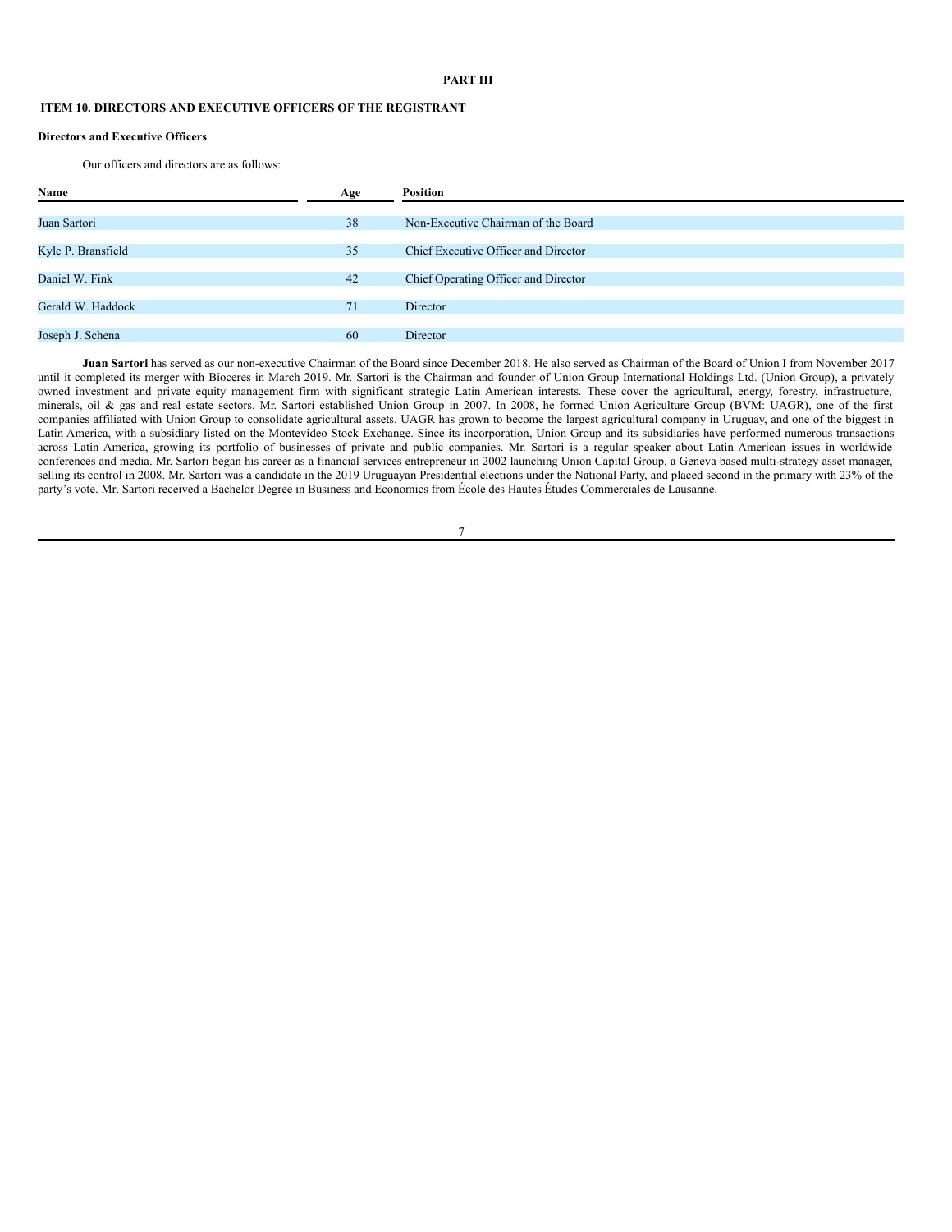#### **PART III**

# <span id="page-8-0"></span>**ITEM 10. DIRECTORS AND EXECUTIVE OFFICERS OF THE REGISTRANT**

# **Directors and Executive Officers**

Our officers and directors are as follows:

| Name               | Age | Position                             |
|--------------------|-----|--------------------------------------|
|                    |     |                                      |
| Juan Sartori       | 38  | Non-Executive Chairman of the Board  |
|                    |     |                                      |
| Kyle P. Bransfield | 35  | Chief Executive Officer and Director |
|                    |     |                                      |
| Daniel W. Fink     | 42  | Chief Operating Officer and Director |
|                    |     |                                      |
| Gerald W. Haddock  | 71  | Director                             |
|                    |     |                                      |
| Joseph J. Schena   | 60  | Director                             |
|                    |     |                                      |

**Juan Sartori** has served as our non-executive Chairman of the Board since December 2018. He also served as Chairman of the Board of Union I from November 2017 until it completed its merger with Bioceres in March 2019. Mr. Sartori is the Chairman and founder of Union Group International Holdings Ltd. (Union Group), a privately owned investment and private equity management firm with significant strategic Latin American interests. These cover the agricultural, energy, forestry, infrastructure, minerals, oil & gas and real estate sectors. Mr. Sartori established Union Group in 2007. In 2008, he formed Union Agriculture Group (BVM: UAGR), one of the first companies affiliated with Union Group to consolidate agricultural assets. UAGR has grown to become the largest agricultural company in Uruguay, and one of the biggest in Latin America, with a subsidiary listed on the Montevideo Stock Exchange. Since its incorporation, Union Group and its subsidiaries have performed numerous transactions across Latin America, growing its portfolio of businesses of private and public companies. Mr. Sartori is a regular speaker about Latin American issues in worldwide conferences and media. Mr. Sartori began his career as a financial services entrepreneur in 2002 launching Union Capital Group, a Geneva based multi-strategy asset manager, selling its control in 2008. Mr. Sartori was a candidate in the 2019 Uruguayan Presidential elections under the National Party, and placed second in the primary with 23% of the party's vote. Mr. Sartori received a Bachelor Degree in Business and Economics from École des Hautes Études Commerciales de Lausanne.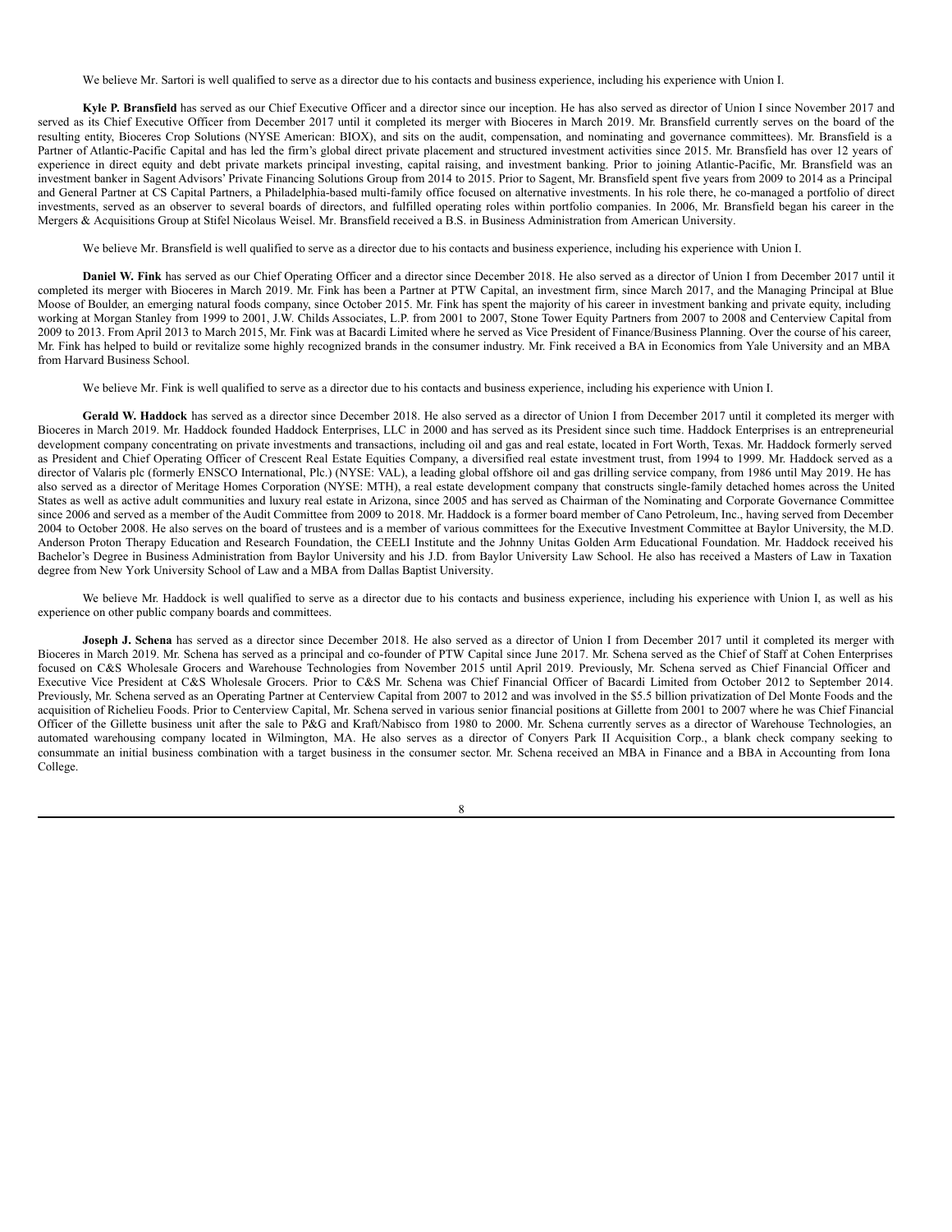We believe Mr. Sartori is well qualified to serve as a director due to his contacts and business experience, including his experience with Union I.

**Kyle P. Bransfield** has served as our Chief Executive Officer and a director since our inception. He has also served as director of Union I since November 2017 and served as its Chief Executive Officer from December 2017 until it completed its merger with Bioceres in March 2019. Mr. Bransfield currently serves on the board of the resulting entity, Bioceres Crop Solutions (NYSE American: BIOX), and sits on the audit, compensation, and nominating and governance committees). Mr. Bransfield is a Partner of Atlantic-Pacific Capital and has led the firm's global direct private placement and structured investment activities since 2015. Mr. Bransfield has over 12 years of experience in direct equity and debt private markets principal investing, capital raising, and investment banking. Prior to joining Atlantic-Pacific, Mr. Bransfield was an investment banker in Sagent Advisors' Private Financing Solutions Group from 2014 to 2015. Prior to Sagent, Mr. Bransfield spent five years from 2009 to 2014 as a Principal and General Partner at CS Capital Partners, a Philadelphia-based multi-family office focused on alternative investments. In his role there, he co-managed a portfolio of direct investments, served as an observer to several boards of directors, and fulfilled operating roles within portfolio companies. In 2006, Mr. Bransfield began his career in the Mergers & Acquisitions Group at Stifel Nicolaus Weisel. Mr. Bransfield received a B.S. in Business Administration from American University.

We believe Mr. Bransfield is well qualified to serve as a director due to his contacts and business experience, including his experience with Union I.

**Daniel W. Fink** has served as our Chief Operating Officer and a director since December 2018. He also served as a director of Union I from December 2017 until it completed its merger with Bioceres in March 2019. Mr. Fink has been a Partner at PTW Capital, an investment firm, since March 2017, and the Managing Principal at Blue Moose of Boulder, an emerging natural foods company, since October 2015. Mr. Fink has spent the majority of his career in investment banking and private equity, including working at Morgan Stanley from 1999 to 2001, J.W. Childs Associates, L.P. from 2001 to 2007, Stone Tower Equity Partners from 2007 to 2008 and Centerview Capital from 2009 to 2013. From April 2013 to March 2015, Mr. Fink was at Bacardi Limited where he served as Vice President of Finance/Business Planning. Over the course of his career, Mr. Fink has helped to build or revitalize some highly recognized brands in the consumer industry. Mr. Fink received a BA in Economics from Yale University and an MBA from Harvard Business School.

We believe Mr. Fink is well qualified to serve as a director due to his contacts and business experience, including his experience with Union I.

**Gerald W. Haddock** has served as a director since December 2018. He also served as a director of Union I from December 2017 until it completed its merger with Bioceres in March 2019. Mr. Haddock founded Haddock Enterprises, LLC in 2000 and has served as its President since such time. Haddock Enterprises is an entrepreneurial development company concentrating on private investments and transactions, including oil and gas and real estate, located in Fort Worth, Texas. Mr. Haddock formerly served as President and Chief Operating Officer of Crescent Real Estate Equities Company, a diversified real estate investment trust, from 1994 to 1999. Mr. Haddock served as a director of Valaris plc (formerly ENSCO International, Plc.) (NYSE: VAL), a leading global offshore oil and gas drilling service company, from 1986 until May 2019. He has also served as a director of Meritage Homes Corporation (NYSE: MTH), a real estate development company that constructs single-family detached homes across the United States as well as active adult communities and luxury real estate in Arizona, since 2005 and has served as Chairman of the Nominating and Corporate Governance Committee since 2006 and served as a member of the Audit Committee from 2009 to 2018. Mr. Haddock is a former board member of Cano Petroleum, Inc., having served from December 2004 to October 2008. He also serves on the board of trustees and is a member of various committees for the Executive Investment Committee at Baylor University, the M.D. Anderson Proton Therapy Education and Research Foundation, the CEELI Institute and the Johnny Unitas Golden Arm Educational Foundation. Mr. Haddock received his Bachelor's Degree in Business Administration from Baylor University and his J.D. from Baylor University Law School. He also has received a Masters of Law in Taxation degree from New York University School of Law and a MBA from Dallas Baptist University.

We believe Mr. Haddock is well qualified to serve as a director due to his contacts and business experience, including his experience with Union I, as well as his experience on other public company boards and committees.

**Joseph J. Schena** has served as a director since December 2018. He also served as a director of Union I from December 2017 until it completed its merger with Bioceres in March 2019. Mr. Schena has served as a principal and co-founder of PTW Capital since June 2017. Mr. Schena served as the Chief of Staff at Cohen Enterprises focused on C&S Wholesale Grocers and Warehouse Technologies from November 2015 until April 2019. Previously, Mr. Schena served as Chief Financial Officer and Executive Vice President at C&S Wholesale Grocers. Prior to C&S Mr. Schena was Chief Financial Officer of Bacardi Limited from October 2012 to September 2014. Previously, Mr. Schena served as an Operating Partner at Centerview Capital from 2007 to 2012 and was involved in the \$5.5 billion privatization of Del Monte Foods and the acquisition of Richelieu Foods. Prior to Centerview Capital, Mr. Schena served in various senior financial positions at Gillette from 2001 to 2007 where he was Chief Financial Officer of the Gillette business unit after the sale to P&G and Kraft/Nabisco from 1980 to 2000. Mr. Schena currently serves as a director of Warehouse Technologies, an automated warehousing company located in Wilmington, MA. He also serves as a director of Conyers Park II Acquisition Corp., a blank check company seeking to consummate an initial business combination with a target business in the consumer sector. Mr. Schena received an MBA in Finance and a BBA in Accounting from Iona College.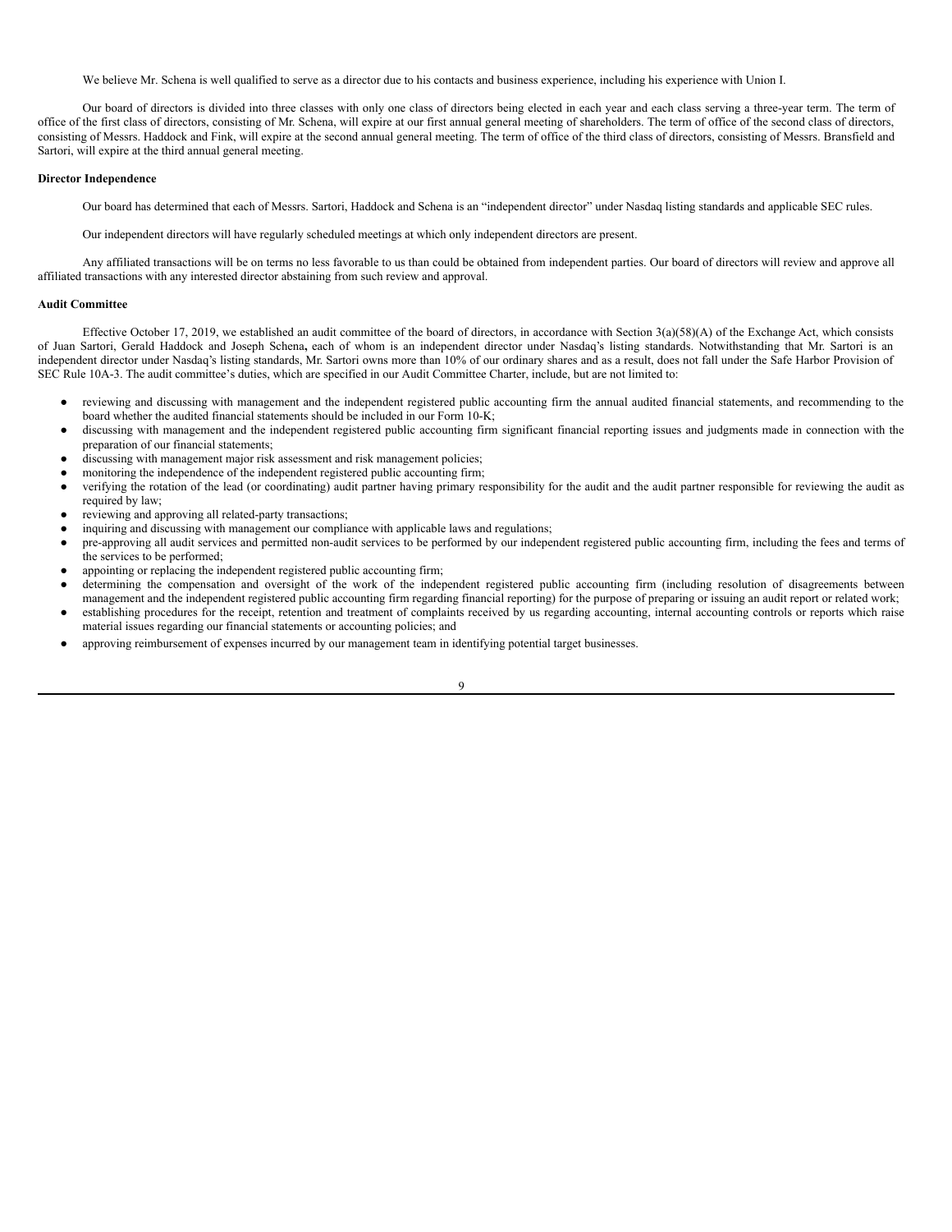We believe Mr. Schena is well qualified to serve as a director due to his contacts and business experience, including his experience with Union I.

Our board of directors is divided into three classes with only one class of directors being elected in each year and each class serving a three-year term. The term of office of the first class of directors, consisting of Mr. Schena, will expire at our first annual general meeting of shareholders. The term of office of the second class of directors, consisting of Messrs. Haddock and Fink, will expire at the second annual general meeting. The term of office of the third class of directors, consisting of Messrs. Bransfield and Sartori, will expire at the third annual general meeting.

#### **Director Independence**

Our board has determined that each of Messrs. Sartori, Haddock and Schena is an "independent director" under Nasdaq listing standards and applicable SEC rules.

Our independent directors will have regularly scheduled meetings at which only independent directors are present.

Any affiliated transactions will be on terms no less favorable to us than could be obtained from independent parties. Our board of directors will review and approve all affiliated transactions with any interested director abstaining from such review and approval.

### **Audit Committee**

Effective October 17, 2019, we established an audit committee of the board of directors, in accordance with Section 3(a)(58)(A) of the Exchange Act, which consists of Juan Sartori, Gerald Haddock and Joseph Schena**,** each of whom is an independent director under Nasdaq's listing standards. Notwithstanding that Mr. Sartori is an independent director under Nasdaq's listing standards, Mr. Sartori owns more than 10% of our ordinary shares and as a result, does not fall under the Safe Harbor Provision of SEC Rule 10A-3. The audit committee's duties, which are specified in our Audit Committee Charter, include, but are not limited to:

- reviewing and discussing with management and the independent registered public accounting firm the annual audited financial statements, and recommending to the board whether the audited financial statements should be included in our Form 10-K;
- discussing with management and the independent registered public accounting firm significant financial reporting issues and judgments made in connection with the preparation of our financial statements;
- discussing with management major risk assessment and risk management policies;
- monitoring the independence of the independent registered public accounting firm;
- verifying the rotation of the lead (or coordinating) audit partner having primary responsibility for the audit and the audit partner responsible for reviewing the audit as required by law;
- reviewing and approving all related-party transactions;
- inquiring and discussing with management our compliance with applicable laws and regulations;
- pre-approving all audit services and permitted non-audit services to be performed by our independent registered public accounting firm, including the fees and terms of the services to be performed;
- appointing or replacing the independent registered public accounting firm;
- determining the compensation and oversight of the work of the independent registered public accounting firm (including resolution of disagreements between management and the independent registered public accounting firm regarding financial reporting) for the purpose of preparing or issuing an audit report or related work;
- establishing procedures for the receipt, retention and treatment of complaints received by us regarding accounting, internal accounting controls or reports which raise material issues regarding our financial statements or accounting policies; and
- approving reimbursement of expenses incurred by our management team in identifying potential target businesses.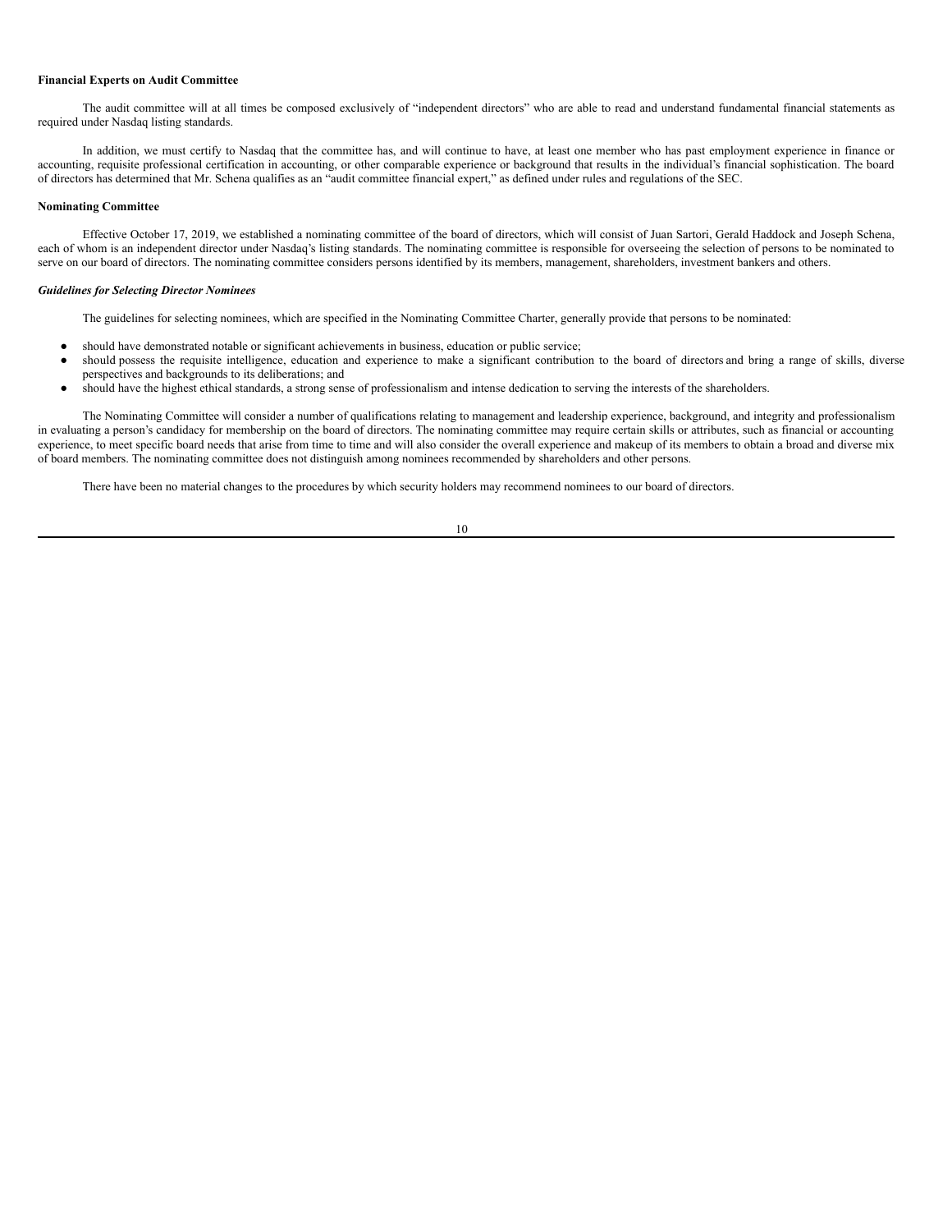#### **Financial Experts on Audit Committee**

The audit committee will at all times be composed exclusively of "independent directors" who are able to read and understand fundamental financial statements as required under Nasdaq listing standards.

In addition, we must certify to Nasdaq that the committee has, and will continue to have, at least one member who has past employment experience in finance or accounting, requisite professional certification in accounting, or other comparable experience or background that results in the individual's financial sophistication. The board of directors has determined that Mr. Schena qualifies as an "audit committee financial expert," as defined under rules and regulations of the SEC.

### **Nominating Committee**

Effective October 17, 2019, we established a nominating committee of the board of directors, which will consist of Juan Sartori, Gerald Haddock and Joseph Schena, each of whom is an independent director under Nasdaq's listing standards. The nominating committee is responsible for overseeing the selection of persons to be nominated to serve on our board of directors. The nominating committee considers persons identified by its members, management, shareholders, investment bankers and others.

#### *Guidelines for Selecting Director Nominees*

The guidelines for selecting nominees, which are specified in the Nominating Committee Charter, generally provide that persons to be nominated:

- should have demonstrated notable or significant achievements in business, education or public service;
- should possess the requisite intelligence, education and experience to make a significant contribution to the board of directors and bring a range of skills, diverse perspectives and backgrounds to its deliberations; and
- should have the highest ethical standards, a strong sense of professionalism and intense dedication to serving the interests of the shareholders.

The Nominating Committee will consider a number of qualifications relating to management and leadership experience, background, and integrity and professionalism in evaluating a person's candidacy for membership on the board of directors. The nominating committee may require certain skills or attributes, such as financial or accounting experience, to meet specific board needs that arise from time to time and will also consider the overall experience and makeup of its members to obtain a broad and diverse mix of board members. The nominating committee does not distinguish among nominees recommended by shareholders and other persons.

There have been no material changes to the procedures by which security holders may recommend nominees to our board of directors.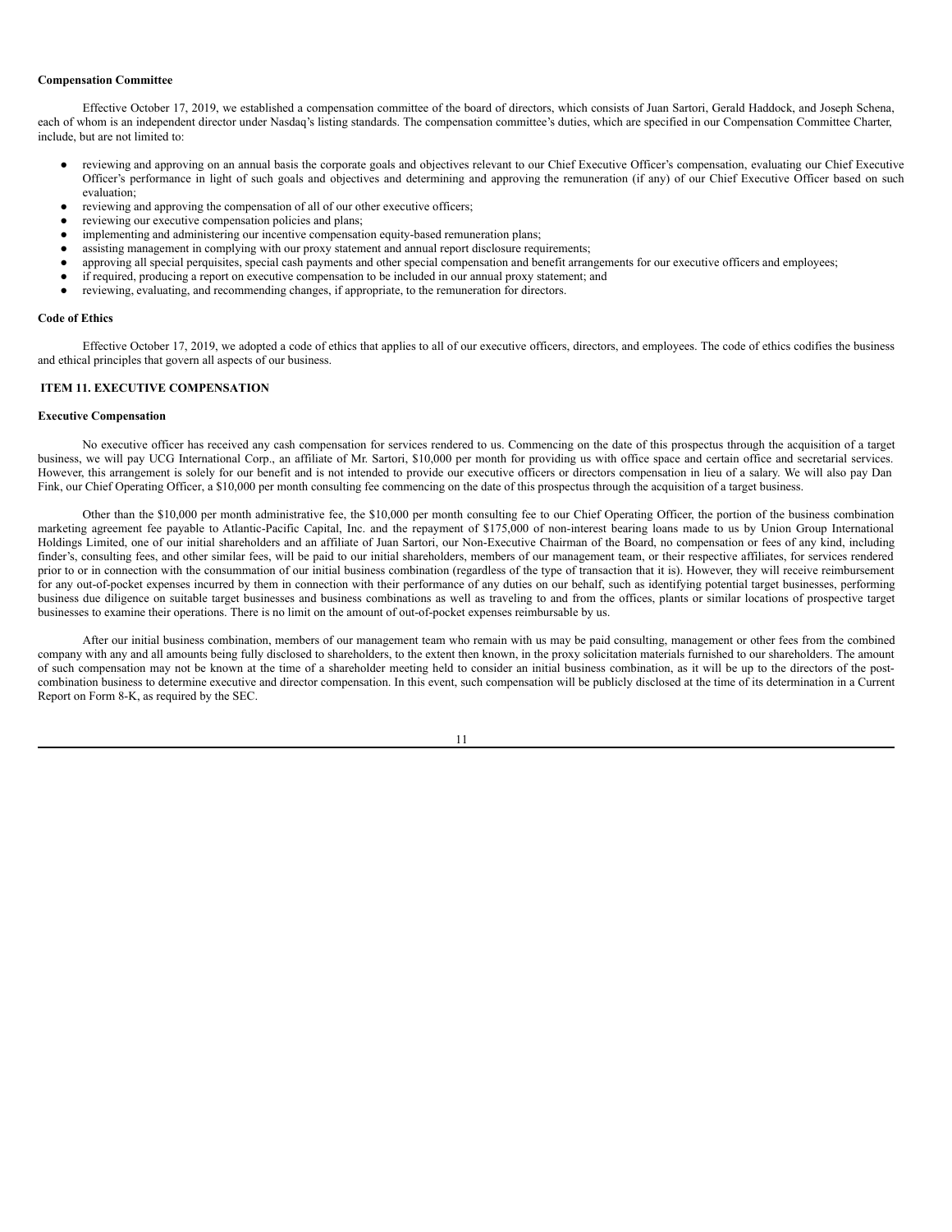#### **Compensation Committee**

Effective October 17, 2019, we established a compensation committee of the board of directors, which consists of Juan Sartori, Gerald Haddock, and Joseph Schena, each of whom is an independent director under Nasdaq's listing standards. The compensation committee's duties, which are specified in our Compensation Committee Charter, include, but are not limited to:

- reviewing and approving on an annual basis the corporate goals and objectives relevant to our Chief Executive Officer's compensation, evaluating our Chief Executive Officer's performance in light of such goals and objectives and determining and approving the remuneration (if any) of our Chief Executive Officer based on such evaluation;
- reviewing and approving the compensation of all of our other executive officers;
- reviewing our executive compensation policies and plans;
- implementing and administering our incentive compensation equity-based remuneration plans;
- assisting management in complying with our proxy statement and annual report disclosure requirements;
- approving all special perquisites, special cash payments and other special compensation and benefit arrangements for our executive officers and employees;
- if required, producing a report on executive compensation to be included in our annual proxy statement; and
- reviewing, evaluating, and recommending changes, if appropriate, to the remuneration for directors.

#### **Code of Ethics**

Effective October 17, 2019, we adopted a code of ethics that applies to all of our executive officers, directors, and employees. The code of ethics codifies the business and ethical principles that govern all aspects of our business.

# <span id="page-12-0"></span>**ITEM 11. EXECUTIVE COMPENSATION**

#### **Executive Compensation**

No executive officer has received any cash compensation for services rendered to us. Commencing on the date of this prospectus through the acquisition of a target business, we will pay UCG International Corp., an affiliate of Mr. Sartori, \$10,000 per month for providing us with office space and certain office and secretarial services. However, this arrangement is solely for our benefit and is not intended to provide our executive officers or directors compensation in lieu of a salary. We will also pay Dan Fink, our Chief Operating Officer, a \$10,000 per month consulting fee commencing on the date of this prospectus through the acquisition of a target business.

Other than the \$10,000 per month administrative fee, the \$10,000 per month consulting fee to our Chief Operating Officer, the portion of the business combination marketing agreement fee payable to Atlantic-Pacific Capital, Inc. and the repayment of \$175,000 of non-interest bearing loans made to us by Union Group International Holdings Limited, one of our initial shareholders and an affiliate of Juan Sartori, our Non-Executive Chairman of the Board, no compensation or fees of any kind, including finder's, consulting fees, and other similar fees, will be paid to our initial shareholders, members of our management team, or their respective affiliates, for services rendered prior to or in connection with the consummation of our initial business combination (regardless of the type of transaction that it is). However, they will receive reimbursement for any out-of-pocket expenses incurred by them in connection with their performance of any duties on our behalf, such as identifying potential target businesses, performing business due diligence on suitable target businesses and business combinations as well as traveling to and from the offices, plants or similar locations of prospective target businesses to examine their operations. There is no limit on the amount of out-of-pocket expenses reimbursable by us.

After our initial business combination, members of our management team who remain with us may be paid consulting, management or other fees from the combined company with any and all amounts being fully disclosed to shareholders, to the extent then known, in the proxy solicitation materials furnished to our shareholders. The amount of such compensation may not be known at the time of a shareholder meeting held to consider an initial business combination, as it will be up to the directors of the postcombination business to determine executive and director compensation. In this event, such compensation will be publicly disclosed at the time of its determination in a Current Report on Form 8-K, as required by the SEC.

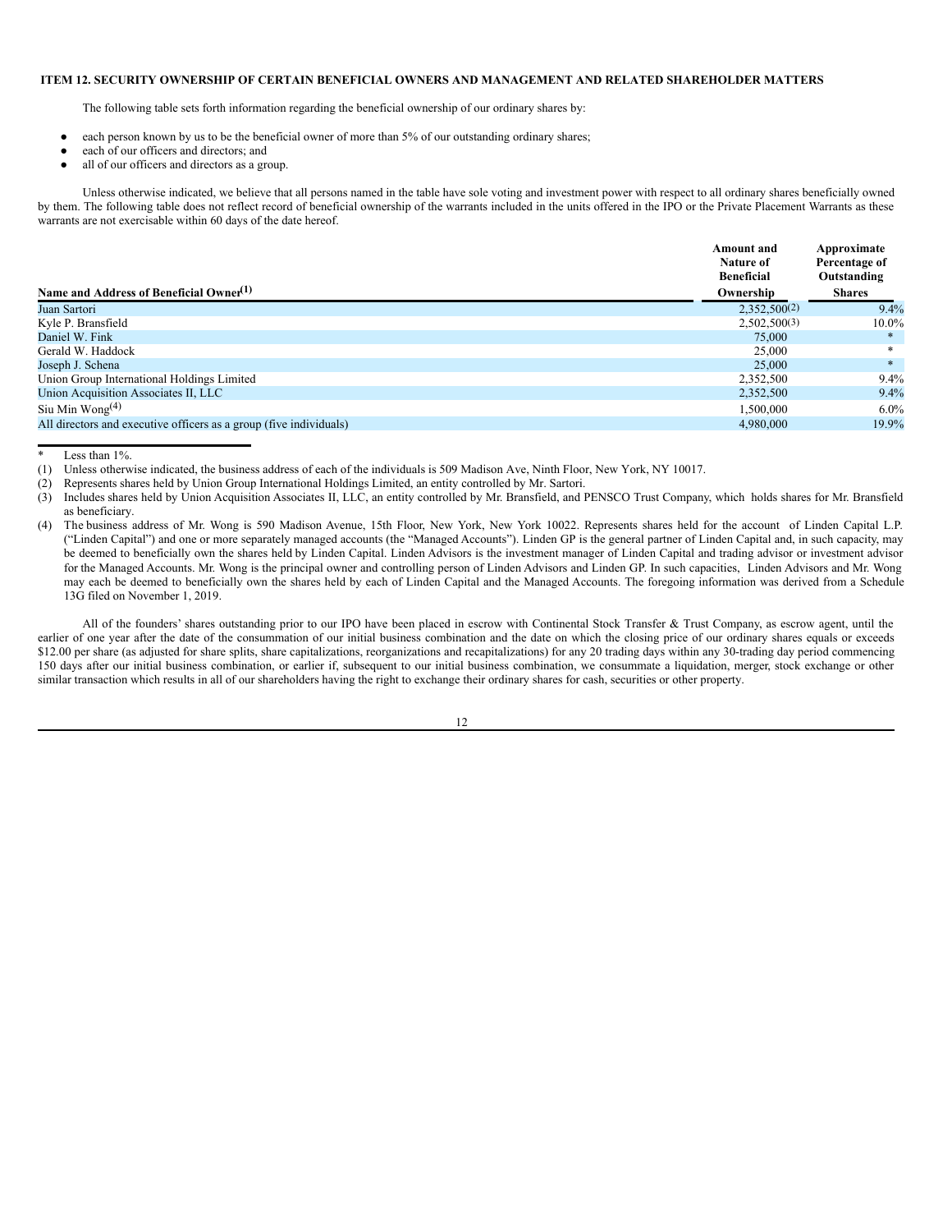# <span id="page-13-0"></span>**ITEM 12. SECURITY OWNERSHIP OF CERTAIN BENEFICIAL OWNERS AND MANAGEMENT AND RELATED SHAREHOLDER MATTERS**

The following table sets forth information regarding the beneficial ownership of our ordinary shares by:

- each person known by us to be the beneficial owner of more than 5% of our outstanding ordinary shares;
- each of our officers and directors; and
- all of our officers and directors as a group.

Unless otherwise indicated, we believe that all persons named in the table have sole voting and investment power with respect to all ordinary shares beneficially owned by them. The following table does not reflect record of beneficial ownership of the warrants included in the units offered in the IPO or the Private Placement Warrants as these warrants are not exercisable within 60 days of the date hereof.

|                                                                    | <b>Amount</b> and<br>Nature of<br><b>Beneficial</b> | Approximate<br>Percentage of<br>Outstanding |
|--------------------------------------------------------------------|-----------------------------------------------------|---------------------------------------------|
| Name and Address of Beneficial Owner <sup>(1)</sup>                | Ownership                                           | <b>Shares</b>                               |
| Juan Sartori                                                       | 2,352,500(2)                                        | 9.4%                                        |
| Kyle P. Bransfield                                                 | 2,502,500(3)                                        | 10.0%                                       |
| Daniel W. Fink                                                     | 75,000                                              |                                             |
| Gerald W. Haddock                                                  | 25,000                                              |                                             |
| Joseph J. Schena                                                   | 25,000                                              | $\ast$                                      |
| Union Group International Holdings Limited                         | 2,352,500                                           | $9.4\%$                                     |
| Union Acquisition Associates II, LLC                               | 2,352,500                                           | 9.4%                                        |
| Siu Min Wong $(4)$                                                 | 1,500,000                                           | $6.0\%$                                     |
| All directors and executive officers as a group (five individuals) | 4.980,000                                           | 19.9%                                       |

\* Less than  $1\%$ .<br>(1) Unless otherw

Unless otherwise indicated, the business address of each of the individuals is 509 Madison Ave, Ninth Floor, New York, NY 10017.

(2) Represents shares held by Union Group International Holdings Limited, an entity controlled by Mr. Sartori.

- (3) Includes shares held by Union Acquisition Associates II, LLC, an entity controlled by Mr. Bransfield, and PENSCO Trust Company, which holds shares for Mr. Bransfield as beneficiary.
- (4) The business address of Mr. Wong is 590 Madison Avenue, 15th Floor, New York, New York 10022. Represents shares held for the account of Linden Capital L.P. ("Linden Capital") and one or more separately managed accounts (the "Managed Accounts"). Linden GP is the general partner of Linden Capital and, in such capacity, may be deemed to beneficially own the shares held by Linden Capital. Linden Advisors is the investment manager of Linden Capital and trading advisor or investment advisor for the Managed Accounts. Mr. Wong is the principal owner and controlling person of Linden Advisors and Linden GP. In such capacities, Linden Advisors and Mr. Wong may each be deemed to beneficially own the shares held by each of Linden Capital and the Managed Accounts. The foregoing information was derived from a Schedule 13G filed on November 1, 2019.

All of the founders' shares outstanding prior to our IPO have been placed in escrow with Continental Stock Transfer & Trust Company, as escrow agent, until the earlier of one year after the date of the consummation of our initial business combination and the date on which the closing price of our ordinary shares equals or exceeds \$12.00 per share (as adjusted for share splits, share capitalizations, reorganizations and recapitalizations) for any 20 trading days within any 30-trading day period commencing 150 days after our initial business combination, or earlier if, subsequent to our initial business combination, we consummate a liquidation, merger, stock exchange or other similar transaction which results in all of our shareholders having the right to exchange their ordinary shares for cash, securities or other property.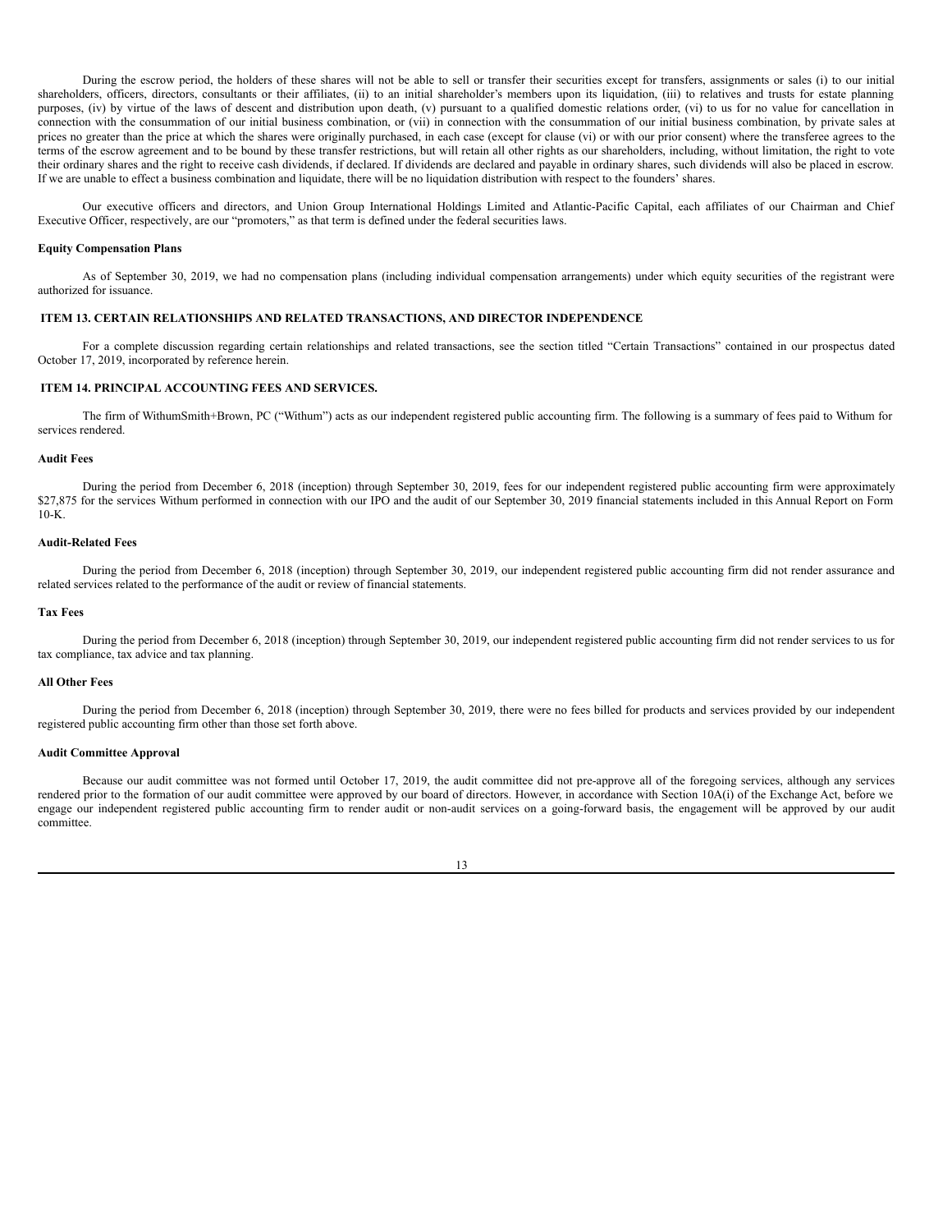During the escrow period, the holders of these shares will not be able to sell or transfer their securities except for transfers, assignments or sales (i) to our initial shareholders, officers, directors, consultants or their affiliates, (ii) to an initial shareholder's members upon its liquidation, (iii) to relatives and trusts for estate planning purposes, (iv) by virtue of the laws of descent and distribution upon death, (v) pursuant to a qualified domestic relations order, (vi) to us for no value for cancellation in connection with the consummation of our initial business combination, or (vii) in connection with the consummation of our initial business combination, by private sales at prices no greater than the price at which the shares were originally purchased, in each case (except for clause (vi) or with our prior consent) where the transferee agrees to the terms of the escrow agreement and to be bound by these transfer restrictions, but will retain all other rights as our shareholders, including, without limitation, the right to vote their ordinary shares and the right to receive cash dividends, if declared. If dividends are declared and payable in ordinary shares, such dividends will also be placed in escrow. If we are unable to effect a business combination and liquidate, there will be no liquidation distribution with respect to the founders' shares.

Our executive officers and directors, and Union Group International Holdings Limited and Atlantic-Pacific Capital, each affiliates of our Chairman and Chief Executive Officer, respectively, are our "promoters," as that term is defined under the federal securities laws.

#### **Equity Compensation Plans**

As of September 30, 2019, we had no compensation plans (including individual compensation arrangements) under which equity securities of the registrant were authorized for issuance.

# <span id="page-14-0"></span>**ITEM 13. CERTAIN RELATIONSHIPS AND RELATED TRANSACTIONS, AND DIRECTOR INDEPENDENCE**

For a complete discussion regarding certain relationships and related transactions, see the section titled "Certain Transactions" contained in our prospectus dated October 17, 2019, incorporated by reference herein.

### <span id="page-14-1"></span>**ITEM 14. PRINCIPAL ACCOUNTING FEES AND SERVICES.**

The firm of WithumSmith+Brown, PC ("Withum") acts as our independent registered public accounting firm. The following is a summary of fees paid to Withum for services rendered.

#### **Audit Fees**

During the period from December 6, 2018 (inception) through September 30, 2019, fees for our independent registered public accounting firm were approximately \$27,875 for the services Withum performed in connection with our IPO and the audit of our September 30, 2019 financial statements included in this Annual Report on Form  $10-K$ 

## **Audit-Related Fees**

During the period from December 6, 2018 (inception) through September 30, 2019, our independent registered public accounting firm did not render assurance and related services related to the performance of the audit or review of financial statements.

#### **Tax Fees**

During the period from December 6, 2018 (inception) through September 30, 2019, our independent registered public accounting firm did not render services to us for tax compliance, tax advice and tax planning.

### **All Other Fees**

During the period from December 6, 2018 (inception) through September 30, 2019, there were no fees billed for products and services provided by our independent registered public accounting firm other than those set forth above.

#### **Audit Committee Approval**

Because our audit committee was not formed until October 17, 2019, the audit committee did not pre-approve all of the foregoing services, although any services rendered prior to the formation of our audit committee were approved by our board of directors. However, in accordance with Section 10A(i) of the Exchange Act, before we engage our independent registered public accounting firm to render audit or non-audit services on a going-forward basis, the engagement will be approved by our audit committee.

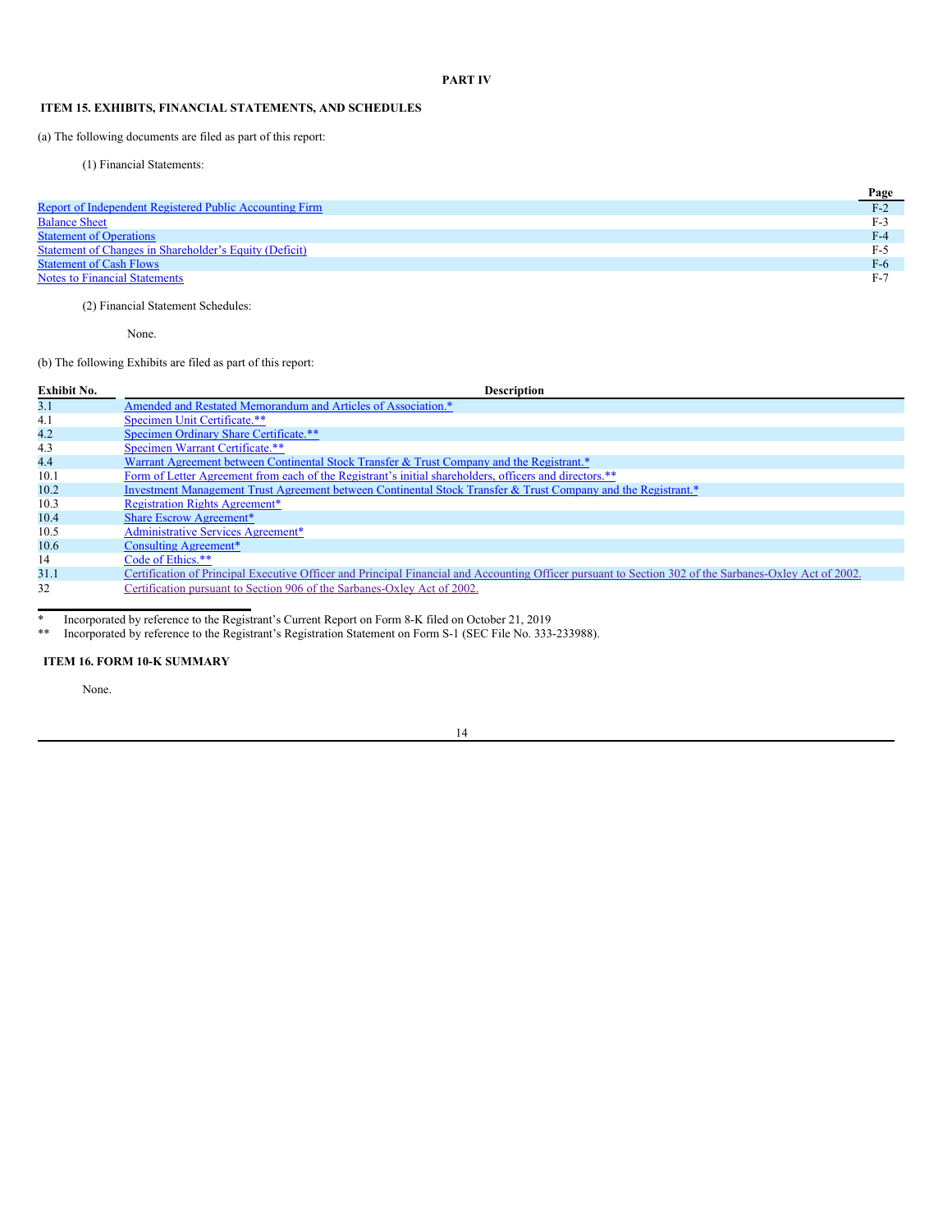# **PART IV**

# <span id="page-15-0"></span>**ITEM 15. EXHIBITS, FINANCIAL STATEMENTS, AND SCHEDULES**

(a) The following documents are filed as part of this report:

(1) Financial Statements:

|                                                               | Page  |
|---------------------------------------------------------------|-------|
| Report of Independent Registered Public Accounting Firm       | $F-2$ |
| <b>Balance Sheet</b>                                          | $F-3$ |
| <b>Statement of Operations</b>                                | $F-4$ |
| <b>Statement of Changes in Shareholder's Equity (Deficit)</b> | $F-4$ |
| <b>Statement of Cash Flows</b>                                | $F-6$ |
| <b>Notes to Financial Statements</b>                          | $F-7$ |

(2) Financial Statement Schedules:

None.

(b) The following Exhibits are filed as part of this report:

| <b>Exhibit No.</b> | <b>Description</b>                                                                                                                                     |
|--------------------|--------------------------------------------------------------------------------------------------------------------------------------------------------|
| 3.1                | Amended and Restated Memorandum and Articles of Association.*                                                                                          |
| 4.1                | Specimen Unit Certificate.**                                                                                                                           |
| 4.2                | Specimen Ordinary Share Certificate.**                                                                                                                 |
| 4.3                | Specimen Warrant Certificate.**                                                                                                                        |
| 4.4                | Warrant Agreement between Continental Stock Transfer & Trust Company and the Registrant.*                                                              |
| 10.1               | Form of Letter Agreement from each of the Registrant's initial shareholders, officers and directors.**                                                 |
| 10.2               | Investment Management Trust Agreement between Continental Stock Transfer & Trust Company and the Registrant.*                                          |
| 10.3               | <b>Registration Rights Agreement*</b>                                                                                                                  |
| 10.4               | <b>Share Escrow Agreement*</b>                                                                                                                         |
| 10.5               | Administrative Services Agreement*                                                                                                                     |
| 10.6               | Consulting Agreement*                                                                                                                                  |
| 14                 | Code of Ethics.**                                                                                                                                      |
| 31.1               | Certification of Principal Executive Officer and Principal Financial and Accounting Officer pursuant to Section 302 of the Sarbanes-Oxley Act of 2002. |
| 32                 | Certification pursuant to Section 906 of the Sarbanes-Oxley Act of 2002.                                                                               |

\* Incorporated by reference to the Registrant's Current Report on Form 8-K filed on October 21, 2019<br>\*\* Incorporated by reference to the Registrant's Registration Statement on Form S-1 (SEC File No. 333-

Incorporated by reference to the Registrant's Registration Statement on Form S-1 (SEC File No. 333-233988).

## <span id="page-15-1"></span>**ITEM 16. FORM 10-K SUMMARY**

None.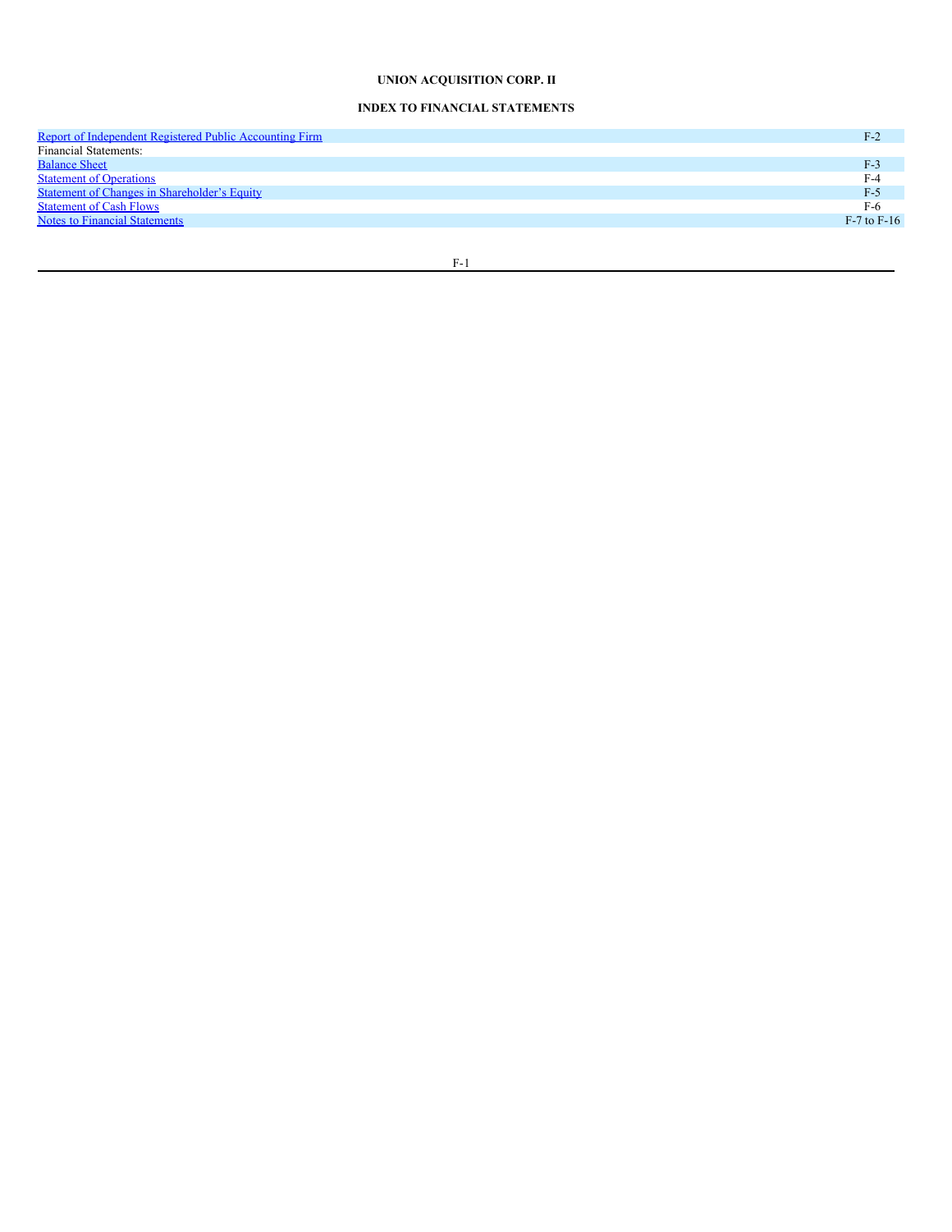# **UNION ACQUISITION CORP. II**

# **INDEX TO FINANCIAL STATEMENTS**

| Report of Independent Registered Public Accounting Firm | $F-2$           |
|---------------------------------------------------------|-----------------|
| Financial Statements:                                   |                 |
| <b>Balance Sheet</b>                                    | $F-3$           |
| <b>Statement of Operations</b>                          | $F-4$           |
| <b>Statement of Changes in Shareholder's Equity</b>     | $F-5$           |
| <b>Statement of Cash Flows</b>                          | $F-6$           |
| <b>Notes to Financial Statements</b>                    | $F-7$ to $F-16$ |
|                                                         |                 |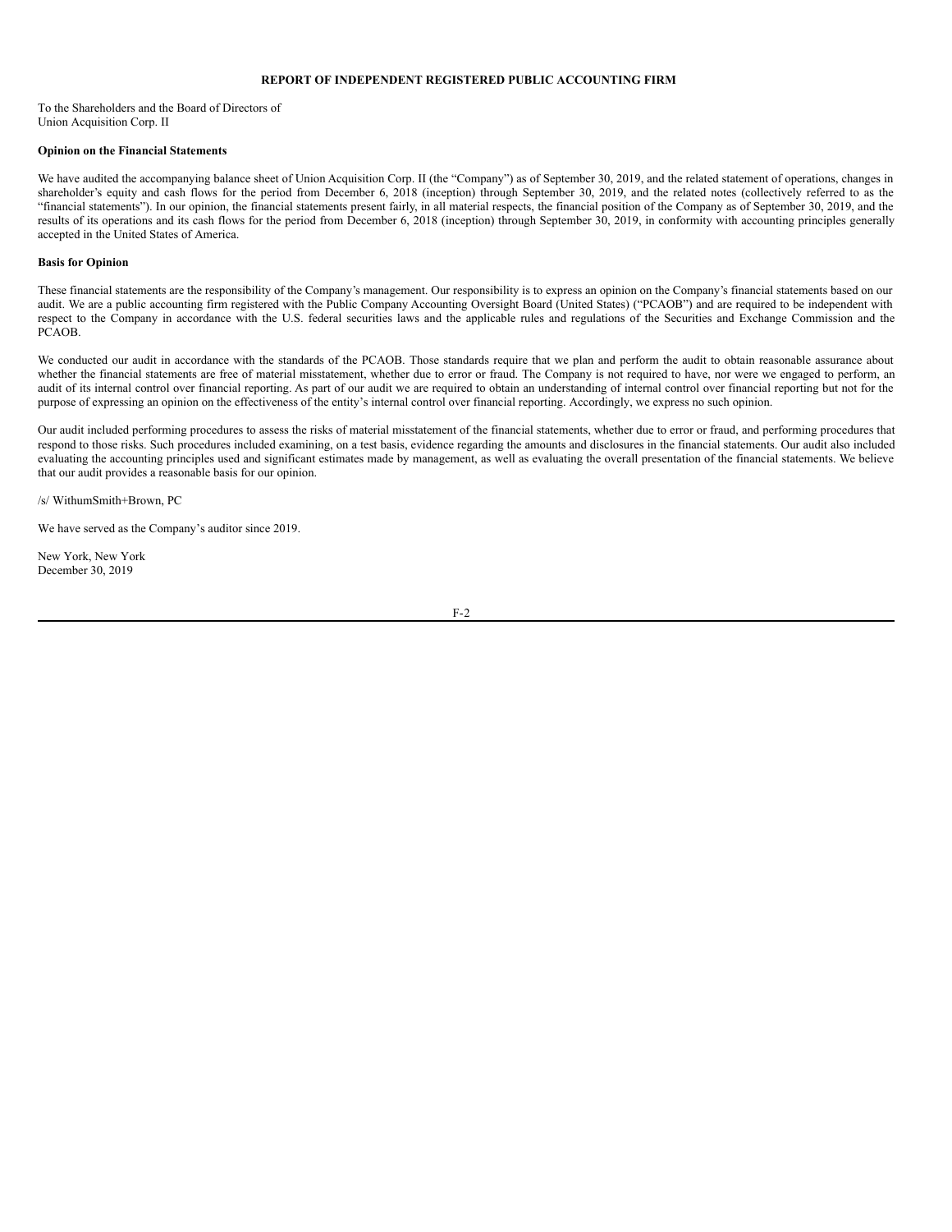## <span id="page-17-0"></span>**REPORT OF INDEPENDENT REGISTERED PUBLIC ACCOUNTING FIRM**

To the Shareholders and the Board of Directors of Union Acquisition Corp. II

#### **Opinion on the Financial Statements**

We have audited the accompanying balance sheet of Union Acquisition Corp. II (the "Company") as of September 30, 2019, and the related statement of operations, changes in shareholder's equity and cash flows for the period from December 6, 2018 (inception) through September 30, 2019, and the related notes (collectively referred to as the "financial statements"). In our opinion, the financial statements present fairly, in all material respects, the financial position of the Company as of September 30, 2019, and the results of its operations and its cash flows for the period from December 6, 2018 (inception) through September 30, 2019, in conformity with accounting principles generally accepted in the United States of America.

#### **Basis for Opinion**

These financial statements are the responsibility of the Company's management. Our responsibility is to express an opinion on the Company's financial statements based on our audit. We are a public accounting firm registered with the Public Company Accounting Oversight Board (United States) ("PCAOB") and are required to be independent with respect to the Company in accordance with the U.S. federal securities laws and the applicable rules and regulations of the Securities and Exchange Commission and the PCAOB.

We conducted our audit in accordance with the standards of the PCAOB. Those standards require that we plan and perform the audit to obtain reasonable assurance about whether the financial statements are free of material misstatement, whether due to error or fraud. The Company is not required to have, nor were we engaged to perform, an audit of its internal control over financial reporting. As part of our audit we are required to obtain an understanding of internal control over financial reporting but not for the purpose of expressing an opinion on the effectiveness of the entity's internal control over financial reporting. Accordingly, we express no such opinion.

Our audit included performing procedures to assess the risks of material misstatement of the financial statements, whether due to error or fraud, and performing procedures that respond to those risks. Such procedures included examining, on a test basis, evidence regarding the amounts and disclosures in the financial statements. Our audit also included evaluating the accounting principles used and significant estimates made by management, as well as evaluating the overall presentation of the financial statements. We believe that our audit provides a reasonable basis for our opinion.

/s/ WithumSmith+Brown, PC

We have served as the Company's auditor since 2019.

New York, New York December 30, 2019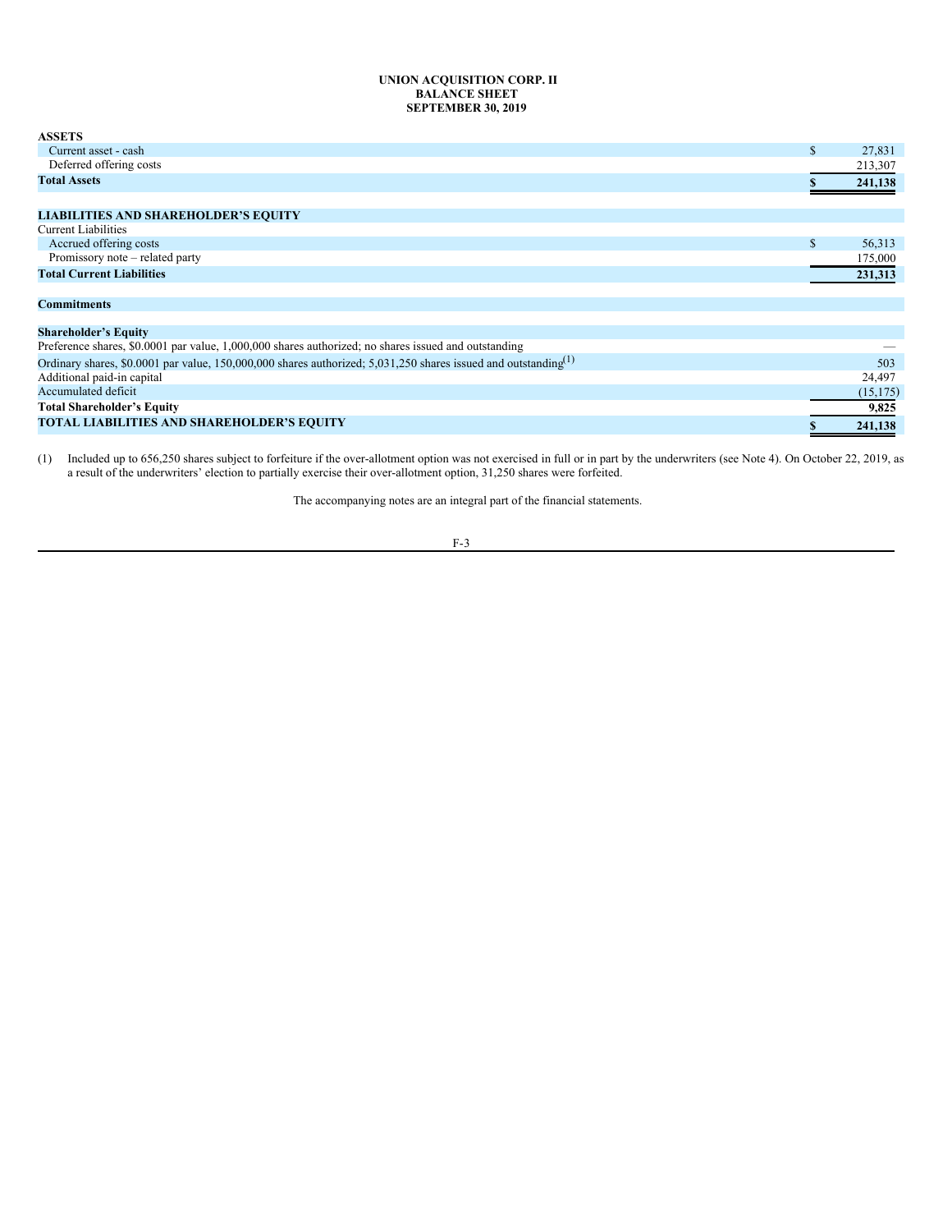### <span id="page-18-0"></span>**UNION ACQUISITION CORP. II BALANCE SHEET SEPTEMBER 30, 2019**

| <b>ASSETS</b>                                                                                                              |     |           |
|----------------------------------------------------------------------------------------------------------------------------|-----|-----------|
| Current asset - cash                                                                                                       | \$  | 27,831    |
| Deferred offering costs                                                                                                    |     | 213,307   |
| <b>Total Assets</b>                                                                                                        |     | 241,138   |
|                                                                                                                            |     |           |
| <b>LIABILITIES AND SHAREHOLDER'S EQUITY</b>                                                                                |     |           |
| <b>Current Liabilities</b>                                                                                                 |     |           |
| Accrued offering costs                                                                                                     | \$. | 56,313    |
| Promissory note – related party                                                                                            |     | 175,000   |
| <b>Total Current Liabilities</b>                                                                                           |     | 231,313   |
| <b>Commitments</b>                                                                                                         |     |           |
| <b>Shareholder's Equity</b>                                                                                                |     |           |
| Preference shares, \$0,0001 par value, 1,000,000 shares authorized; no shares issued and outstanding                       |     |           |
| Ordinary shares, \$0.0001 par value, 150,000,000 shares authorized; 5,031,250 shares issued and outstanding <sup>(1)</sup> |     | 503       |
| Additional paid-in capital                                                                                                 |     | 24,497    |
| Accumulated deficit                                                                                                        |     | (15, 175) |
| <b>Total Shareholder's Equity</b>                                                                                          |     | 9,825     |
| <b>TOTAL LIABILITIES AND SHAREHOLDER'S EQUITY</b>                                                                          |     | 241,138   |
|                                                                                                                            |     |           |

(1) Included up to 656,250 shares subject to forfeiture if the over-allotment option was not exercised in full or in part by the underwriters (see Note 4). On October 22, 2019, as a result of the underwriters' election to partially exercise their over-allotment option, 31,250 shares were forfeited.

The accompanying notes are an integral part of the financial statements.

F-3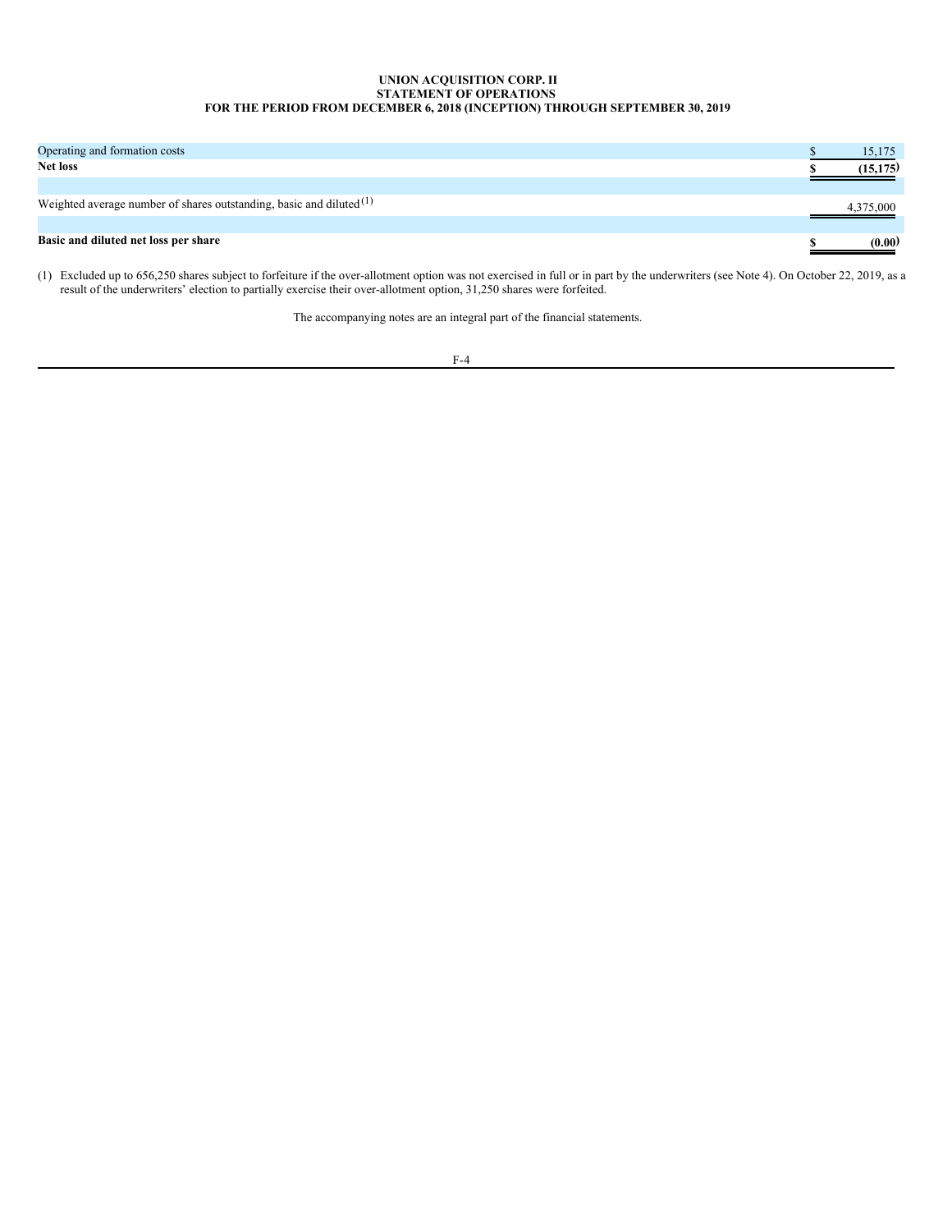# <span id="page-19-0"></span>**UNION ACQUISITION CORP. II STATEMENT OF OPERATIONS FOR THE PERIOD FROM DECEMBER 6, 2018 (INCEPTION) THROUGH SEPTEMBER 30, 2019**

| Operating and formation costs                                          | 15,175    |
|------------------------------------------------------------------------|-----------|
| <b>Net loss</b>                                                        | (15,175)  |
|                                                                        |           |
| Weighted average number of shares outstanding, basic and diluted $(1)$ | 4,375,000 |
|                                                                        |           |
| Basic and diluted net loss per share                                   | (0.00)    |

(1) Excluded up to 656,250 shares subject to forfeiture if the over-allotment option was not exercised in full or in part by the underwriters (see Note 4). On October 22, 2019, as a result of the underwriters' election to partially exercise their over-allotment option, 31,250 shares were forfeited.

The accompanying notes are an integral part of the financial statements.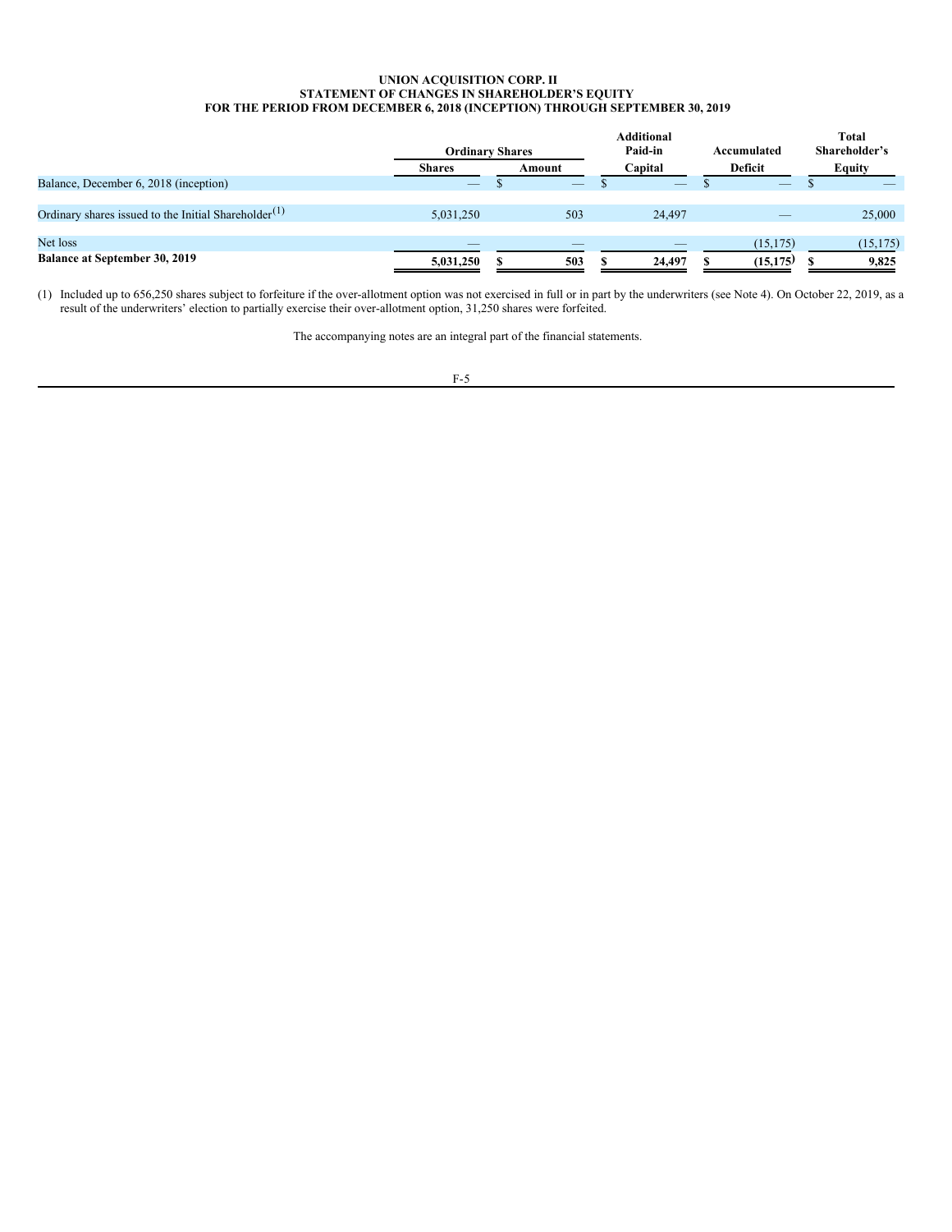#### <span id="page-20-0"></span>**UNION ACQUISITION CORP. II STATEMENT OF CHANGES IN SHAREHOLDER'S EQUITY FOR THE PERIOD FROM DECEMBER 6, 2018 (INCEPTION) THROUGH SEPTEMBER 30, 2019**

|                                                                  | <b>Ordinary Shares</b>   |                          | <b>Additional</b><br>Paid-in | Accumulated              | <b>Total</b><br>Shareholder's |
|------------------------------------------------------------------|--------------------------|--------------------------|------------------------------|--------------------------|-------------------------------|
|                                                                  | <b>Shares</b>            | Amount                   | Capital                      | Deficit                  | <b>Equity</b>                 |
| Balance, December 6, 2018 (inception)                            | $\overline{\phantom{a}}$ | $\overline{\phantom{a}}$ | $\overline{\phantom{a}}$     | $\overline{\phantom{a}}$ |                               |
|                                                                  |                          |                          |                              |                          |                               |
| Ordinary shares issued to the Initial Shareholder <sup>(1)</sup> | 5.031.250                | 503                      | 24,497                       | $\overline{\phantom{a}}$ | 25,000                        |
|                                                                  |                          |                          |                              |                          |                               |
| Net loss                                                         |                          |                          |                              | (15, 175)                | (15, 175)                     |
| <b>Balance at September 30, 2019</b>                             | 5,031,250                | 503                      | 24,497                       | (15, 175)                | 9,825                         |

(1) Included up to 656,250 shares subject to forfeiture if the over-allotment option was not exercised in full or in part by the underwriters (see Note 4). On October 22, 2019, as a result of the underwriters' election to partially exercise their over-allotment option, 31,250 shares were forfeited.

The accompanying notes are an integral part of the financial statements.

$$
F-5
$$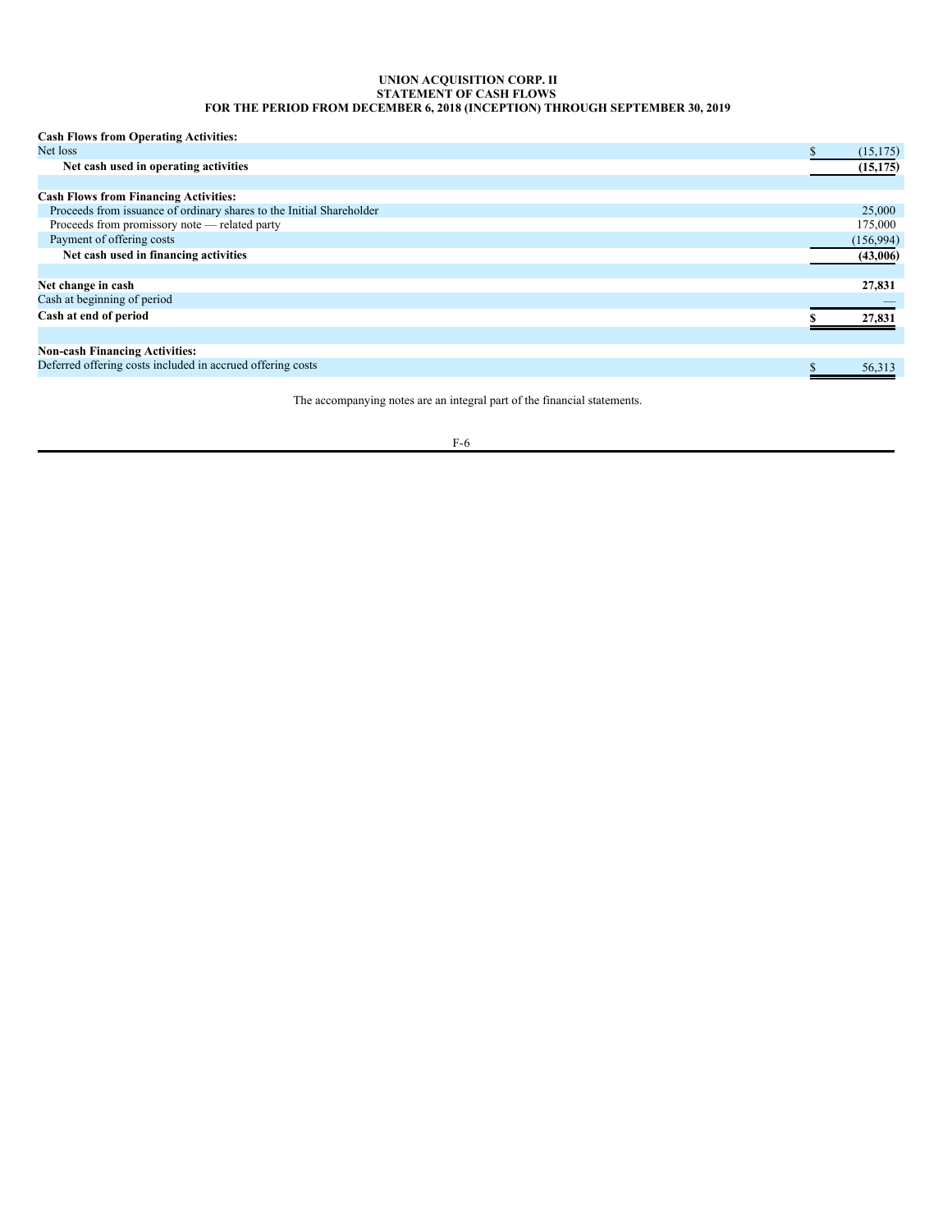#### <span id="page-21-0"></span>**UNION ACQUISITION CORP. II STATEMENT OF CASH FLOWS FOR THE PERIOD FROM DECEMBER 6, 2018 (INCEPTION) THROUGH SEPTEMBER 30, 2019**

### **Cash Flows from Operating Activities:**

| Net loss                                                             | (15, 175)  |
|----------------------------------------------------------------------|------------|
| Net cash used in operating activities                                | (15, 175)  |
|                                                                      |            |
| <b>Cash Flows from Financing Activities:</b>                         |            |
| Proceeds from issuance of ordinary shares to the Initial Shareholder | 25,000     |
| Proceeds from promissory note - related party                        | 175,000    |
| Payment of offering costs                                            | (156, 994) |
| Net cash used in financing activities                                | (43,006)   |
|                                                                      |            |
| Net change in cash                                                   | 27,831     |
| Cash at beginning of period                                          |            |
| Cash at end of period                                                | 27,831     |
|                                                                      |            |
| <b>Non-cash Financing Activities:</b>                                |            |
| Deferred offering costs included in accrued offering costs           | 56,313     |

The accompanying notes are an integral part of the financial statements.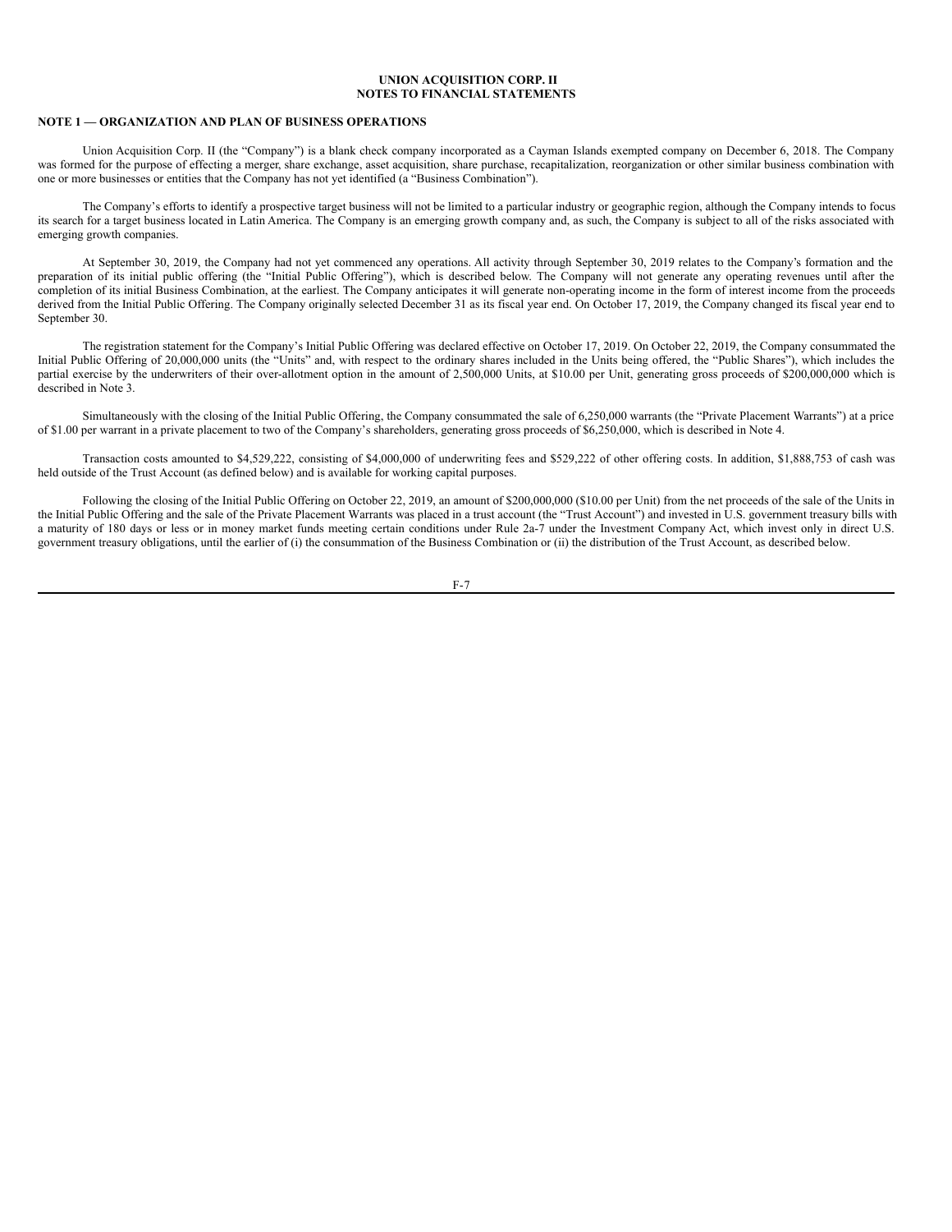#### <span id="page-22-0"></span>**NOTE 1 — ORGANIZATION AND PLAN OF BUSINESS OPERATIONS**

Union Acquisition Corp. II (the "Company") is a blank check company incorporated as a Cayman Islands exempted company on December 6, 2018. The Company was formed for the purpose of effecting a merger, share exchange, asset acquisition, share purchase, recapitalization, reorganization or other similar business combination with one or more businesses or entities that the Company has not yet identified (a "Business Combination").

The Company's efforts to identify a prospective target business will not be limited to a particular industry or geographic region, although the Company intends to focus its search for a target business located in Latin America. The Company is an emerging growth company and, as such, the Company is subject to all of the risks associated with emerging growth companies.

At September 30, 2019, the Company had not yet commenced any operations. All activity through September 30, 2019 relates to the Company's formation and the preparation of its initial public offering (the "Initial Public Offering"), which is described below. The Company will not generate any operating revenues until after the completion of its initial Business Combination, at the earliest. The Company anticipates it will generate non-operating income in the form of interest income from the proceeds derived from the Initial Public Offering. The Company originally selected December 31 as its fiscal year end. On October 17, 2019, the Company changed its fiscal year end to September 30.

The registration statement for the Company's Initial Public Offering was declared effective on October 17, 2019. On October 22, 2019, the Company consummated the Initial Public Offering of 20,000,000 units (the "Units" and, with respect to the ordinary shares included in the Units being offered, the "Public Shares"), which includes the partial exercise by the underwriters of their over-allotment option in the amount of 2,500,000 Units, at \$10.00 per Unit, generating gross proceeds of \$200,000,000 which is described in Note 3.

Simultaneously with the closing of the Initial Public Offering, the Company consummated the sale of 6,250,000 warrants (the "Private Placement Warrants") at a price of \$1.00 per warrant in a private placement to two of the Company's shareholders, generating gross proceeds of \$6,250,000, which is described in Note 4.

Transaction costs amounted to \$4,529,222, consisting of \$4,000,000 of underwriting fees and \$529,222 of other offering costs. In addition, \$1,888,753 of cash was held outside of the Trust Account (as defined below) and is available for working capital purposes.

Following the closing of the Initial Public Offering on October 22, 2019, an amount of \$200,000,000 (\$10.00 per Unit) from the net proceeds of the sale of the Units in the Initial Public Offering and the sale of the Private Placement Warrants was placed in a trust account (the "Trust Account") and invested in U.S. government treasury bills with a maturity of 180 days or less or in money market funds meeting certain conditions under Rule 2a-7 under the Investment Company Act, which invest only in direct U.S. government treasury obligations, until the earlier of (i) the consummation of the Business Combination or (ii) the distribution of the Trust Account, as described below.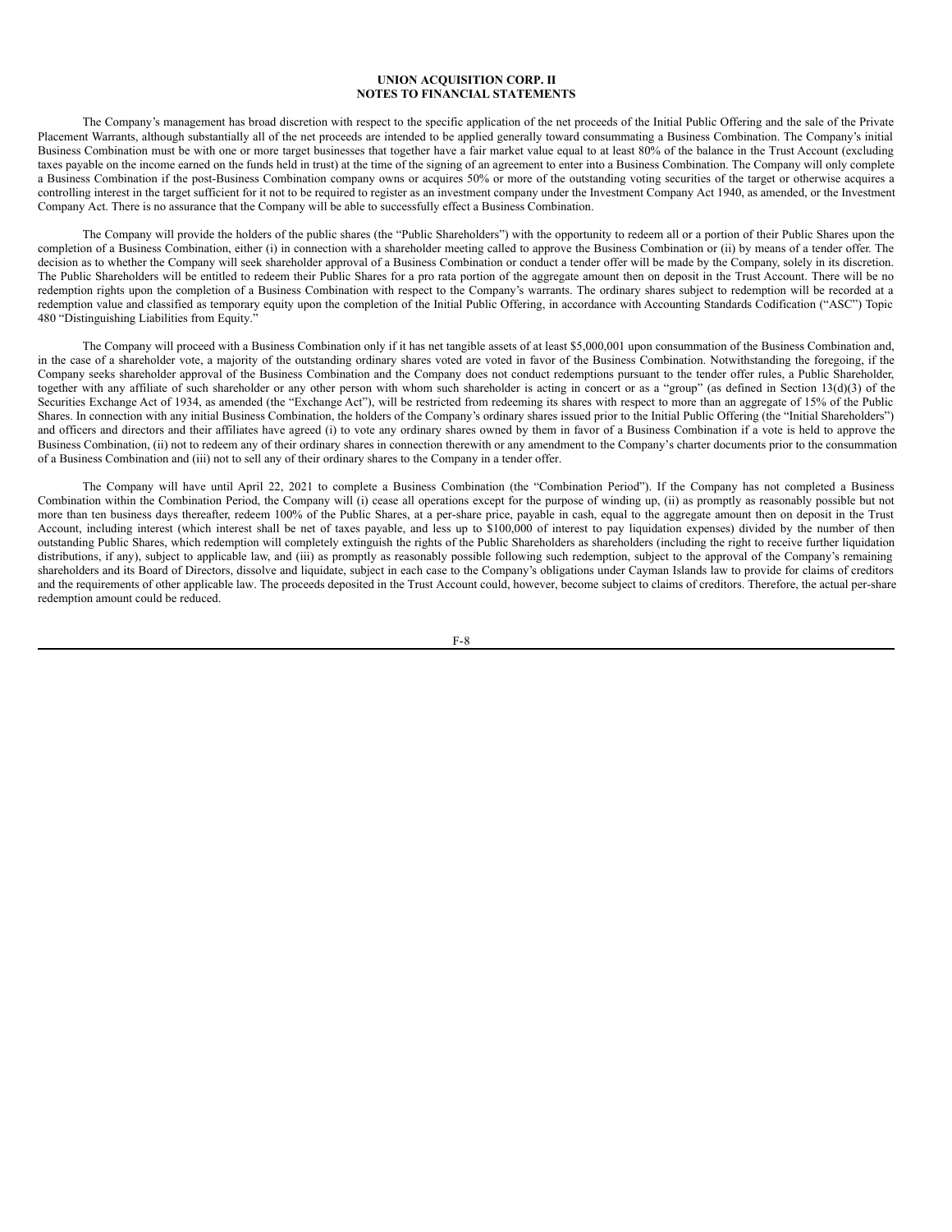The Company's management has broad discretion with respect to the specific application of the net proceeds of the Initial Public Offering and the sale of the Private Placement Warrants, although substantially all of the net proceeds are intended to be applied generally toward consummating a Business Combination. The Company's initial Business Combination must be with one or more target businesses that together have a fair market value equal to at least 80% of the balance in the Trust Account (excluding taxes payable on the income earned on the funds held in trust) at the time of the signing of an agreement to enter into a Business Combination. The Company will only complete a Business Combination if the post-Business Combination company owns or acquires 50% or more of the outstanding voting securities of the target or otherwise acquires a controlling interest in the target sufficient for it not to be required to register as an investment company under the Investment Company Act 1940, as amended, or the Investment Company Act. There is no assurance that the Company will be able to successfully effect a Business Combination.

The Company will provide the holders of the public shares (the "Public Shareholders") with the opportunity to redeem all or a portion of their Public Shares upon the completion of a Business Combination, either (i) in connection with a shareholder meeting called to approve the Business Combination or (ii) by means of a tender offer. The decision as to whether the Company will seek shareholder approval of a Business Combination or conduct a tender offer will be made by the Company, solely in its discretion. The Public Shareholders will be entitled to redeem their Public Shares for a pro rata portion of the aggregate amount then on deposit in the Trust Account. There will be no redemption rights upon the completion of a Business Combination with respect to the Company's warrants. The ordinary shares subject to redemption will be recorded at a redemption value and classified as temporary equity upon the completion of the Initial Public Offering, in accordance with Accounting Standards Codification ("ASC") Topic 480 "Distinguishing Liabilities from Equity."

The Company will proceed with a Business Combination only if it has net tangible assets of at least \$5,000,001 upon consummation of the Business Combination and, in the case of a shareholder vote, a majority of the outstanding ordinary shares voted are voted in favor of the Business Combination. Notwithstanding the foregoing, if the Company seeks shareholder approval of the Business Combination and the Company does not conduct redemptions pursuant to the tender offer rules, a Public Shareholder, together with any affiliate of such shareholder or any other person with whom such shareholder is acting in concert or as a "group" (as defined in Section 13(d)(3) of the Securities Exchange Act of 1934, as amended (the "Exchange Act"), will be restricted from redeeming its shares with respect to more than an aggregate of 15% of the Public Shares. In connection with any initial Business Combination, the holders of the Company's ordinary shares issued prior to the Initial Public Offering (the "Initial Shareholders") and officers and directors and their affiliates have agreed (i) to vote any ordinary shares owned by them in favor of a Business Combination if a vote is held to approve the Business Combination, (ii) not to redeem any of their ordinary shares in connection therewith or any amendment to the Company's charter documents prior to the consummation of a Business Combination and (iii) not to sell any of their ordinary shares to the Company in a tender offer.

The Company will have until April 22, 2021 to complete a Business Combination (the "Combination Period"). If the Company has not completed a Business Combination within the Combination Period, the Company will (i) cease all operations except for the purpose of winding up, (ii) as promptly as reasonably possible but not more than ten business days thereafter, redeem 100% of the Public Shares, at a per-share price, payable in cash, equal to the aggregate amount then on deposit in the Trust Account, including interest (which interest shall be net of taxes payable, and less up to \$100,000 of interest to pay liquidation expenses) divided by the number of then outstanding Public Shares, which redemption will completely extinguish the rights of the Public Shareholders as shareholders (including the right to receive further liquidation distributions, if any), subject to applicable law, and (iii) as promptly as reasonably possible following such redemption, subject to the approval of the Company's remaining shareholders and its Board of Directors, dissolve and liquidate, subject in each case to the Company's obligations under Cayman Islands law to provide for claims of creditors and the requirements of other applicable law. The proceeds deposited in the Trust Account could, however, become subject to claims of creditors. Therefore, the actual per-share redemption amount could be reduced.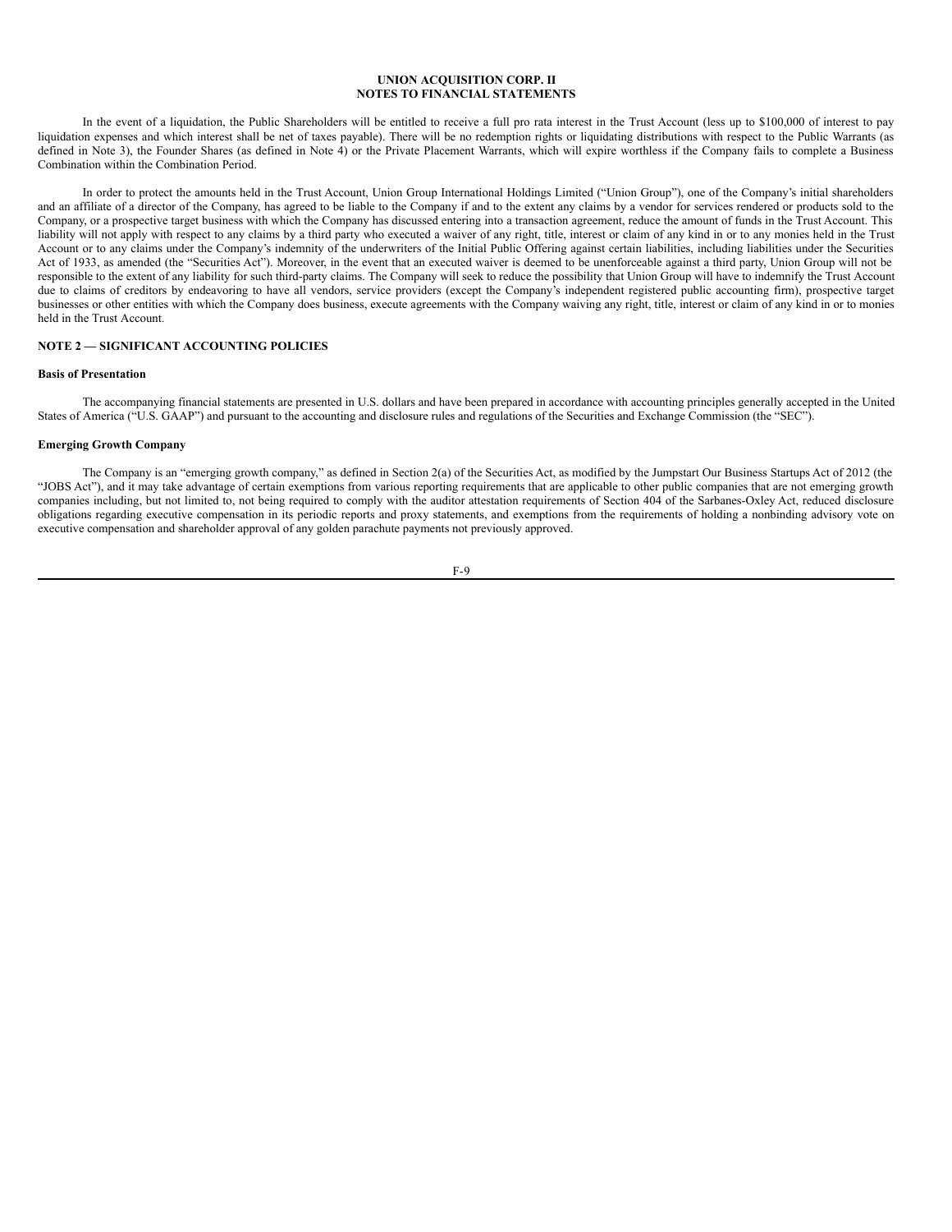In the event of a liquidation, the Public Shareholders will be entitled to receive a full pro rata interest in the Trust Account (less up to \$100,000 of interest to pay liquidation expenses and which interest shall be net of taxes payable). There will be no redemption rights or liquidating distributions with respect to the Public Warrants (as defined in Note 3), the Founder Shares (as defined in Note 4) or the Private Placement Warrants, which will expire worthless if the Company fails to complete a Business Combination within the Combination Period.

In order to protect the amounts held in the Trust Account, Union Group International Holdings Limited ("Union Group"), one of the Company's initial shareholders and an affiliate of a director of the Company, has agreed to be liable to the Company if and to the extent any claims by a vendor for services rendered or products sold to the Company, or a prospective target business with which the Company has discussed entering into a transaction agreement, reduce the amount of funds in the Trust Account. This liability will not apply with respect to any claims by a third party who executed a waiver of any right, title, interest or claim of any kind in or to any monies held in the Trust Account or to any claims under the Company's indemnity of the underwriters of the Initial Public Offering against certain liabilities, including liabilities under the Securities Act of 1933, as amended (the "Securities Act"). Moreover, in the event that an executed waiver is deemed to be unenforceable against a third party, Union Group will not be responsible to the extent of any liability for such third-party claims. The Company will seek to reduce the possibility that Union Group will have to indemnify the Trust Account due to claims of creditors by endeavoring to have all vendors, service providers (except the Company's independent registered public accounting firm), prospective target businesses or other entities with which the Company does business, execute agreements with the Company waiving any right, title, interest or claim of any kind in or to monies held in the Trust Account.

## **NOTE 2 — SIGNIFICANT ACCOUNTING POLICIES**

#### **Basis of Presentation**

The accompanying financial statements are presented in U.S. dollars and have been prepared in accordance with accounting principles generally accepted in the United States of America ("U.S. GAAP") and pursuant to the accounting and disclosure rules and regulations of the Securities and Exchange Commission (the "SEC").

### **Emerging Growth Company**

The Company is an "emerging growth company," as defined in Section 2(a) of the Securities Act, as modified by the Jumpstart Our Business Startups Act of 2012 (the "JOBS Act"), and it may take advantage of certain exemptions from various reporting requirements that are applicable to other public companies that are not emerging growth companies including, but not limited to, not being required to comply with the auditor attestation requirements of Section 404 of the Sarbanes-Oxley Act, reduced disclosure obligations regarding executive compensation in its periodic reports and proxy statements, and exemptions from the requirements of holding a nonbinding advisory vote on executive compensation and shareholder approval of any golden parachute payments not previously approved.

$$
F\text{-}9
$$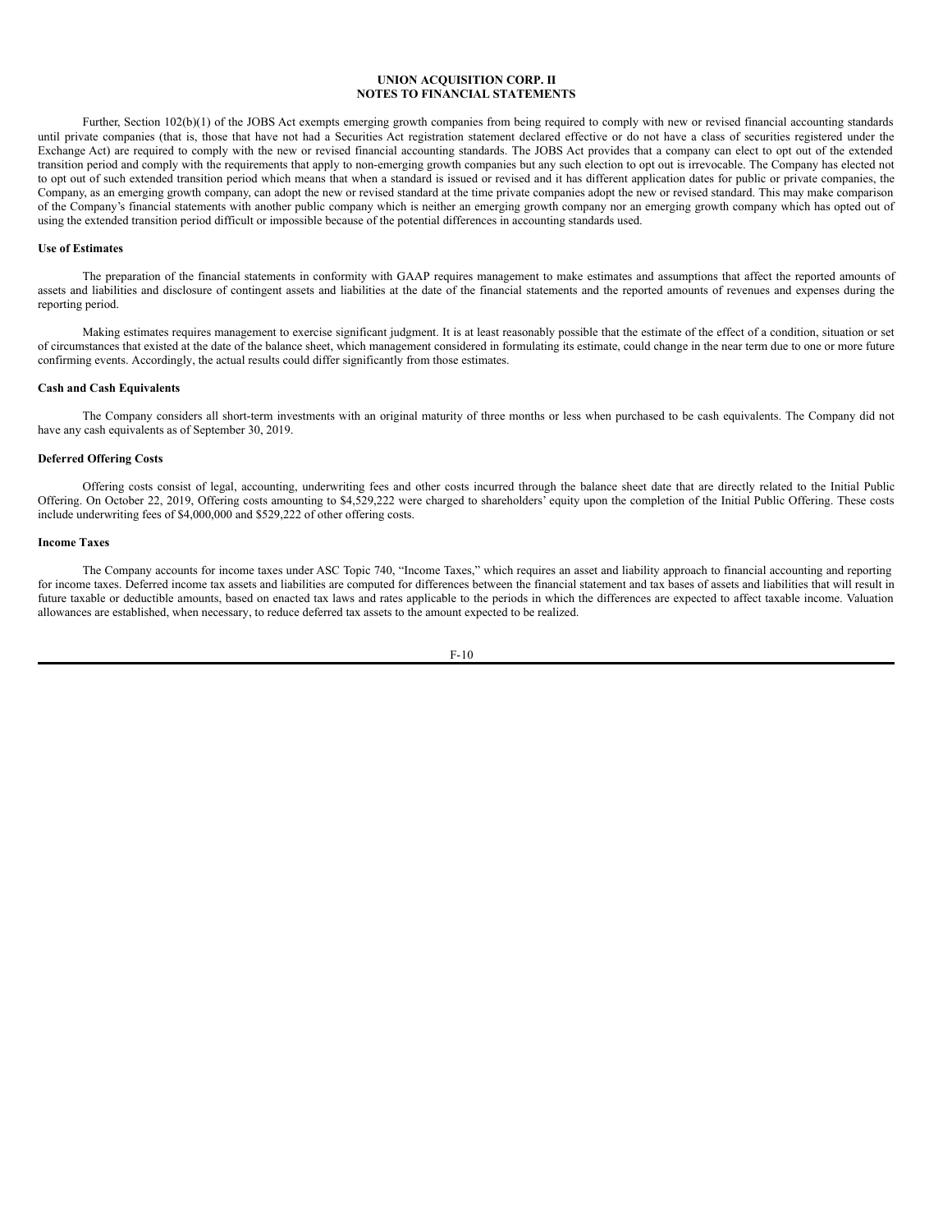Further, Section 102(b)(1) of the JOBS Act exempts emerging growth companies from being required to comply with new or revised financial accounting standards until private companies (that is, those that have not had a Securities Act registration statement declared effective or do not have a class of securities registered under the Exchange Act) are required to comply with the new or revised financial accounting standards. The JOBS Act provides that a company can elect to opt out of the extended transition period and comply with the requirements that apply to non-emerging growth companies but any such election to opt out is irrevocable. The Company has elected not to opt out of such extended transition period which means that when a standard is issued or revised and it has different application dates for public or private companies, the Company, as an emerging growth company, can adopt the new or revised standard at the time private companies adopt the new or revised standard. This may make comparison of the Company's financial statements with another public company which is neither an emerging growth company nor an emerging growth company which has opted out of using the extended transition period difficult or impossible because of the potential differences in accounting standards used.

#### **Use of Estimates**

The preparation of the financial statements in conformity with GAAP requires management to make estimates and assumptions that affect the reported amounts of assets and liabilities and disclosure of contingent assets and liabilities at the date of the financial statements and the reported amounts of revenues and expenses during the reporting period.

Making estimates requires management to exercise significant judgment. It is at least reasonably possible that the estimate of the effect of a condition, situation or set of circumstances that existed at the date of the balance sheet, which management considered in formulating its estimate, could change in the near term due to one or more future confirming events. Accordingly, the actual results could differ significantly from those estimates.

### **Cash and Cash Equivalents**

The Company considers all short-term investments with an original maturity of three months or less when purchased to be cash equivalents. The Company did not have any cash equivalents as of September 30, 2019.

#### **Deferred Offering Costs**

Offering costs consist of legal, accounting, underwriting fees and other costs incurred through the balance sheet date that are directly related to the Initial Public Offering. On October 22, 2019, Offering costs amounting to \$4,529,222 were charged to shareholders' equity upon the completion of the Initial Public Offering. These costs include underwriting fees of \$4,000,000 and \$529,222 of other offering costs.

### **Income Taxes**

The Company accounts for income taxes under ASC Topic 740, "Income Taxes," which requires an asset and liability approach to financial accounting and reporting for income taxes. Deferred income tax assets and liabilities are computed for differences between the financial statement and tax bases of assets and liabilities that will result in future taxable or deductible amounts, based on enacted tax laws and rates applicable to the periods in which the differences are expected to affect taxable income. Valuation allowances are established, when necessary, to reduce deferred tax assets to the amount expected to be realized.

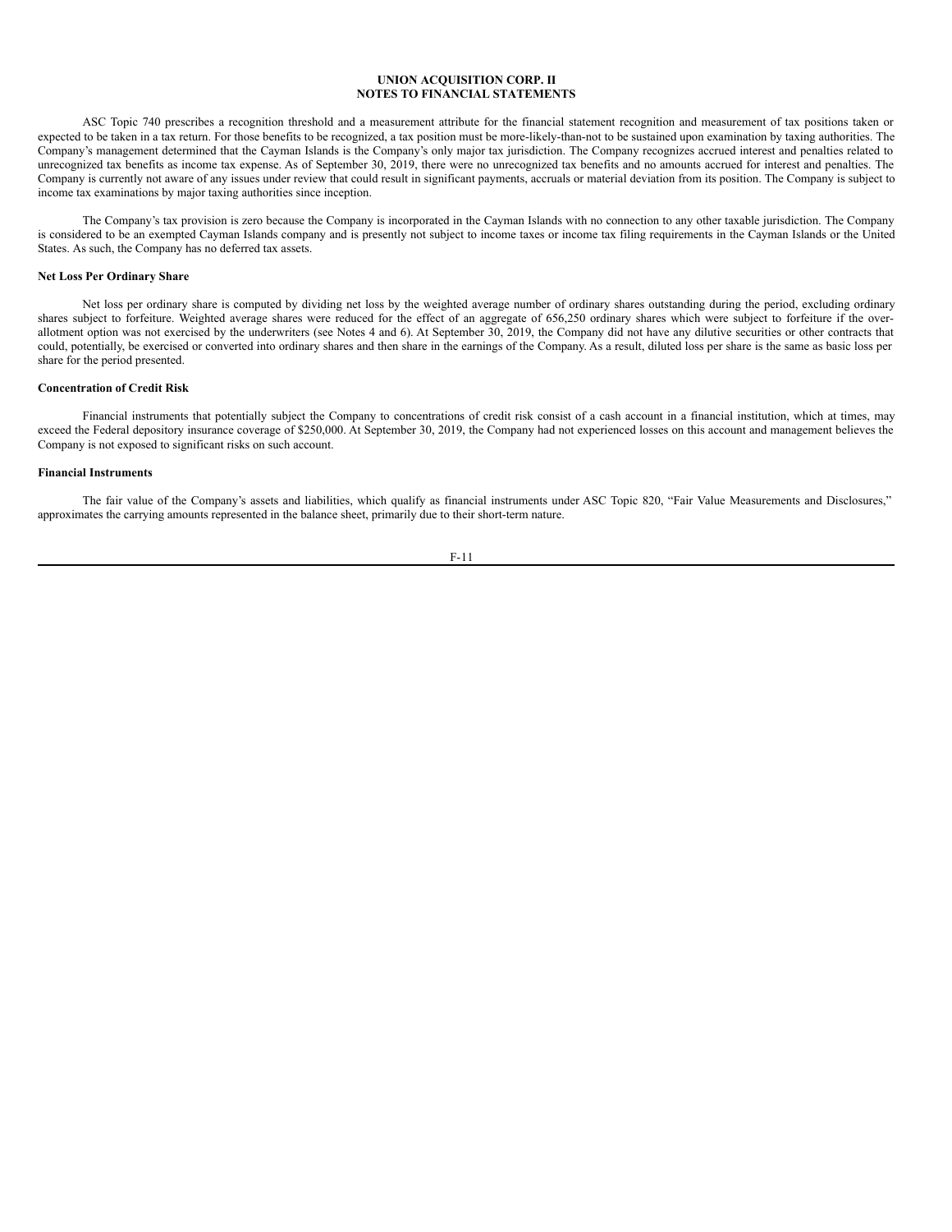ASC Topic 740 prescribes a recognition threshold and a measurement attribute for the financial statement recognition and measurement of tax positions taken or expected to be taken in a tax return. For those benefits to be recognized, a tax position must be more-likely-than-not to be sustained upon examination by taxing authorities. The Company's management determined that the Cayman Islands is the Company's only major tax jurisdiction. The Company recognizes accrued interest and penalties related to unrecognized tax benefits as income tax expense. As of September 30, 2019, there were no unrecognized tax benefits and no amounts accrued for interest and penalties. The Company is currently not aware of any issues under review that could result in significant payments, accruals or material deviation from its position. The Company is subject to income tax examinations by major taxing authorities since inception.

The Company's tax provision is zero because the Company is incorporated in the Cayman Islands with no connection to any other taxable jurisdiction. The Company is considered to be an exempted Cayman Islands company and is presently not subject to income taxes or income tax filing requirements in the Cayman Islands or the United States. As such, the Company has no deferred tax assets.

#### **Net Loss Per Ordinary Share**

Net loss per ordinary share is computed by dividing net loss by the weighted average number of ordinary shares outstanding during the period, excluding ordinary shares subject to forfeiture. Weighted average shares were reduced for the effect of an aggregate of 656,250 ordinary shares which were subject to forfeiture if the overallotment option was not exercised by the underwriters (see Notes 4 and 6). At September 30, 2019, the Company did not have any dilutive securities or other contracts that could, potentially, be exercised or converted into ordinary shares and then share in the earnings of the Company. As a result, diluted loss per share is the same as basic loss per share for the period presented.

### **Concentration of Credit Risk**

Financial instruments that potentially subject the Company to concentrations of credit risk consist of a cash account in a financial institution, which at times, may exceed the Federal depository insurance coverage of \$250,000. At September 30, 2019, the Company had not experienced losses on this account and management believes the Company is not exposed to significant risks on such account.

### **Financial Instruments**

The fair value of the Company's assets and liabilities, which qualify as financial instruments under ASC Topic 820, "Fair Value Measurements and Disclosures," approximates the carrying amounts represented in the balance sheet, primarily due to their short-term nature.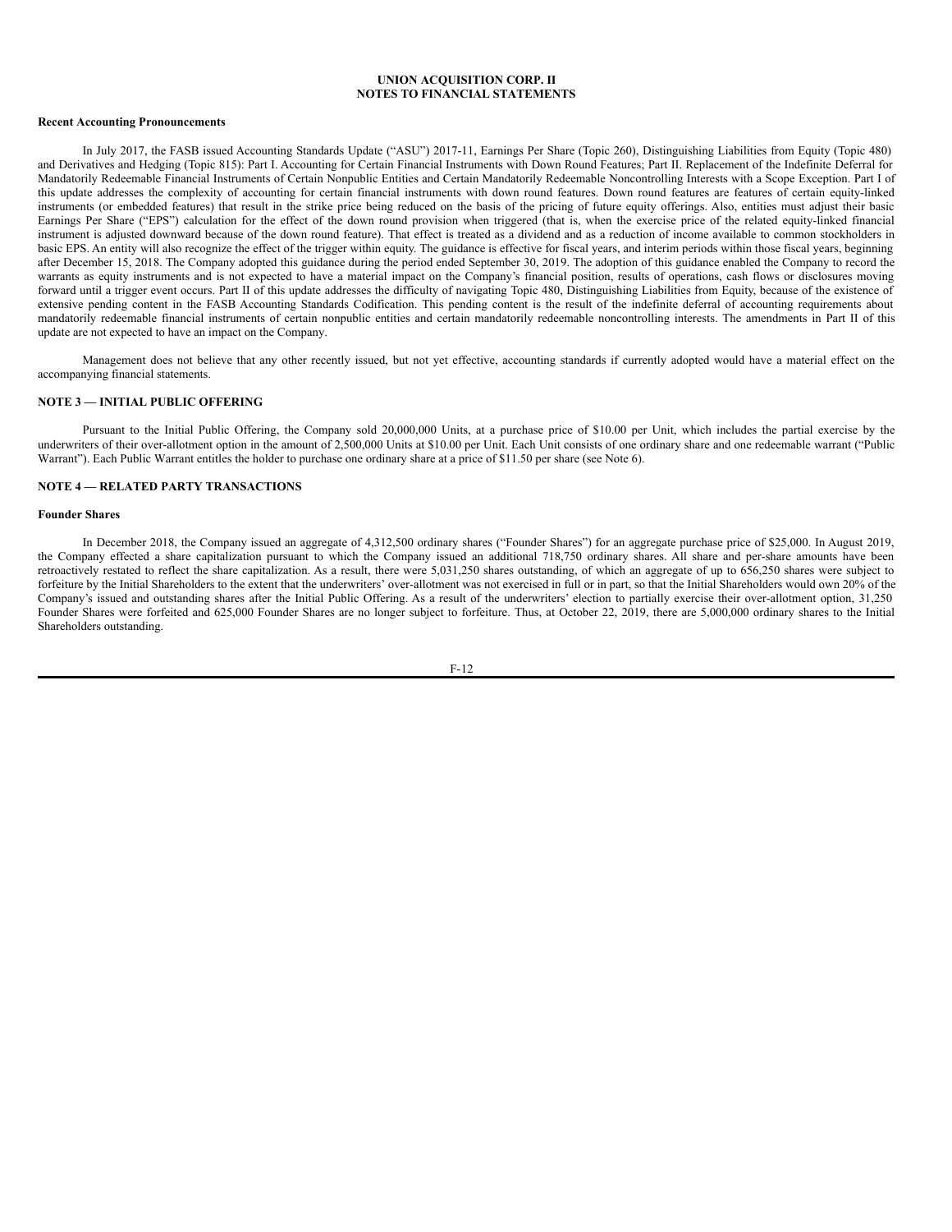#### **Recent Accounting Pronouncements**

In July 2017, the FASB issued Accounting Standards Update ("ASU") 2017-11, Earnings Per Share (Topic 260), Distinguishing Liabilities from Equity (Topic 480) and Derivatives and Hedging (Topic 815): Part I. Accounting for Certain Financial Instruments with Down Round Features; Part II. Replacement of the Indefinite Deferral for Mandatorily Redeemable Financial Instruments of Certain Nonpublic Entities and Certain Mandatorily Redeemable Noncontrolling Interests with a Scope Exception. Part I of this update addresses the complexity of accounting for certain financial instruments with down round features. Down round features are features of certain equity-linked instruments (or embedded features) that result in the strike price being reduced on the basis of the pricing of future equity offerings. Also, entities must adjust their basic Earnings Per Share ("EPS") calculation for the effect of the down round provision when triggered (that is, when the exercise price of the related equity-linked financial instrument is adjusted downward because of the down round feature). That effect is treated as a dividend and as a reduction of income available to common stockholders in basic EPS. An entity will also recognize the effect of the trigger within equity. The guidance is effective for fiscal years, and interim periods within those fiscal years, beginning after December 15, 2018. The Company adopted this guidance during the period ended September 30, 2019. The adoption of this guidance enabled the Company to record the warrants as equity instruments and is not expected to have a material impact on the Company's financial position, results of operations, cash flows or disclosures moving forward until a trigger event occurs. Part II of this update addresses the difficulty of navigating Topic 480, Distinguishing Liabilities from Equity, because of the existence of extensive pending content in the FASB Accounting Standards Codification. This pending content is the result of the indefinite deferral of accounting requirements about mandatorily redeemable financial instruments of certain nonpublic entities and certain mandatorily redeemable noncontrolling interests. The amendments in Part II of this update are not expected to have an impact on the Company.

Management does not believe that any other recently issued, but not yet effective, accounting standards if currently adopted would have a material effect on the accompanying financial statements.

#### **NOTE 3 — INITIAL PUBLIC OFFERING**

Pursuant to the Initial Public Offering, the Company sold 20,000,000 Units, at a purchase price of \$10.00 per Unit, which includes the partial exercise by the underwriters of their over-allotment option in the amount of 2,500,000 Units at \$10.00 per Unit. Each Unit consists of one ordinary share and one redeemable warrant ("Public Warrant"). Each Public Warrant entitles the holder to purchase one ordinary share at a price of \$11.50 per share (see Note 6).

## **NOTE 4 — RELATED PARTY TRANSACTIONS**

### **Founder Shares**

In December 2018, the Company issued an aggregate of 4,312,500 ordinary shares ("Founder Shares") for an aggregate purchase price of \$25,000. In August 2019, the Company effected a share capitalization pursuant to which the Company issued an additional 718,750 ordinary shares. All share and per-share amounts have been retroactively restated to reflect the share capitalization. As a result, there were 5,031,250 shares outstanding, of which an aggregate of up to 656,250 shares were subject to forfeiture by the Initial Shareholders to the extent that the underwriters' over-allotment was not exercised in full or in part, so that the Initial Shareholders would own 20% of the Company's issued and outstanding shares after the Initial Public Offering. As a result of the underwriters' election to partially exercise their over-allotment option, 31,250 Founder Shares were forfeited and 625,000 Founder Shares are no longer subject to forfeiture. Thus, at October 22, 2019, there are 5,000,000 ordinary shares to the Initial Shareholders outstanding.

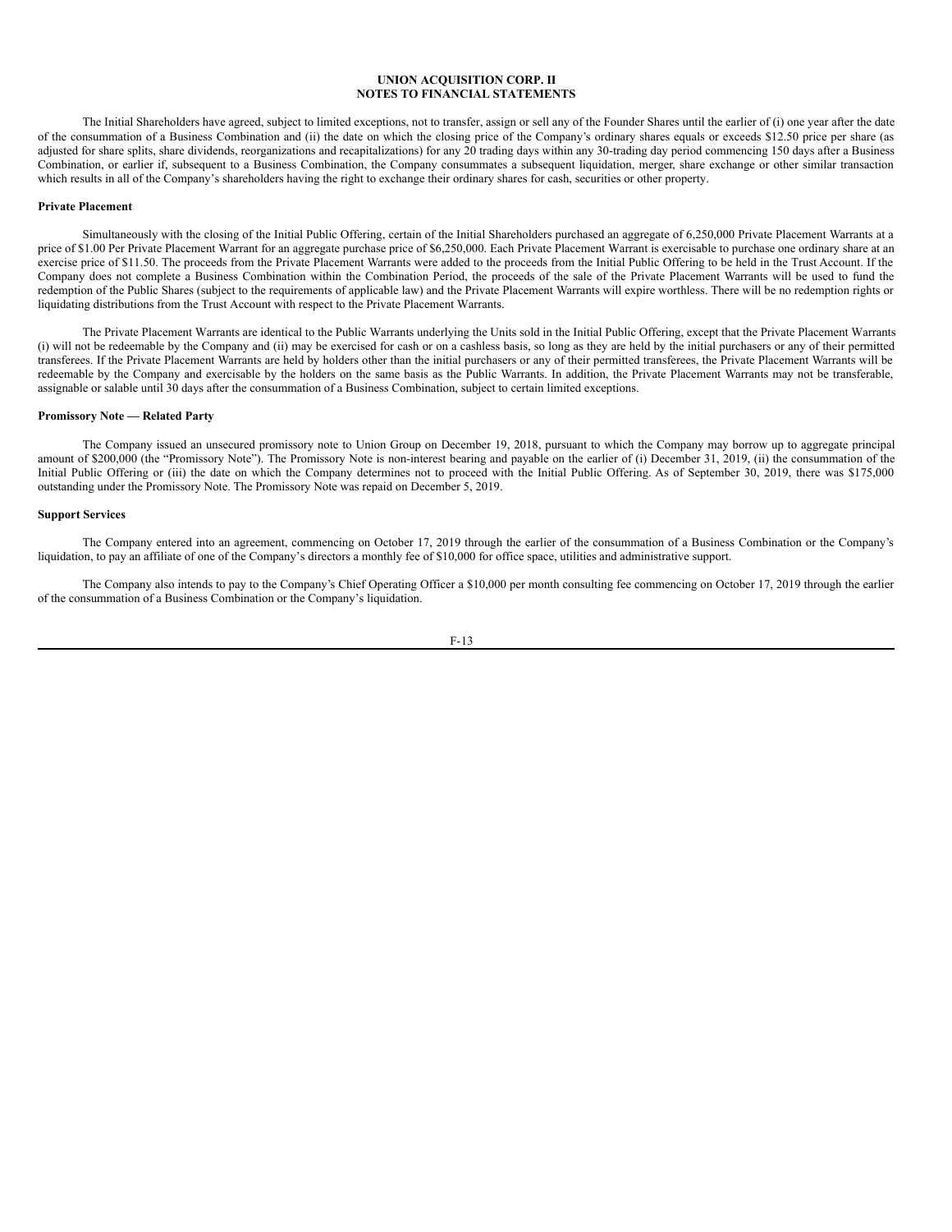The Initial Shareholders have agreed, subject to limited exceptions, not to transfer, assign or sell any of the Founder Shares until the earlier of (i) one year after the date of the consummation of a Business Combination and (ii) the date on which the closing price of the Company's ordinary shares equals or exceeds \$12.50 price per share (as adjusted for share splits, share dividends, reorganizations and recapitalizations) for any  $20$  trading days within any 30-trading day period commencing 150 days after a Business Combination, or earlier if, subsequent to a Business Combination, the Company consummates a subsequent liquidation, merger, share exchange or other similar transaction which results in all of the Company's shareholders having the right to exchange their ordinary shares for cash, securities or other property.

### **Private Placement**

Simultaneously with the closing of the Initial Public Offering, certain of the Initial Shareholders purchased an aggregate of 6,250,000 Private Placement Warrants at a price of \$1.00 Per Private Placement Warrant for an aggregate purchase price of \$6,250,000. Each Private Placement Warrant is exercisable to purchase one ordinary share at an exercise price of \$11.50. The proceeds from the Private Placement Warrants were added to the proceeds from the Initial Public Offering to be held in the Trust Account. If the Company does not complete a Business Combination within the Combination Period, the proceeds of the sale of the Private Placement Warrants will be used to fund the redemption of the Public Shares (subject to the requirements of applicable law) and the Private Placement Warrants will expire worthless. There will be no redemption rights or liquidating distributions from the Trust Account with respect to the Private Placement Warrants.

The Private Placement Warrants are identical to the Public Warrants underlying the Units sold in the Initial Public Offering, except that the Private Placement Warrants (i) will not be redeemable by the Company and (ii) may be exercised for cash or on a cashless basis, so long as they are held by the initial purchasers or any of their permitted transferees. If the Private Placement Warrants are held by holders other than the initial purchasers or any of their permitted transferees, the Private Placement Warrants will be redeemable by the Company and exercisable by the holders on the same basis as the Public Warrants. In addition, the Private Placement Warrants may not be transferable, assignable or salable until 30 days after the consummation of a Business Combination, subject to certain limited exceptions.

#### **Promissory Note — Related Party**

The Company issued an unsecured promissory note to Union Group on December 19, 2018, pursuant to which the Company may borrow up to aggregate principal amount of \$200,000 (the "Promissory Note"). The Promissory Note is non-interest bearing and payable on the earlier of (i) December 31, 2019, (ii) the consummation of the Initial Public Offering or (iii) the date on which the Company determines not to proceed with the Initial Public Offering. As of September 30, 2019, there was \$175,000 outstanding under the Promissory Note. The Promissory Note was repaid on December 5, 2019.

### **Support Services**

The Company entered into an agreement, commencing on October 17, 2019 through the earlier of the consummation of a Business Combination or the Company's liquidation, to pay an affiliate of one of the Company's directors a monthly fee of \$10,000 for office space, utilities and administrative support.

The Company also intends to pay to the Company's Chief Operating Officer a \$10,000 per month consulting fee commencing on October 17, 2019 through the earlier of the consummation of a Business Combination or the Company's liquidation.

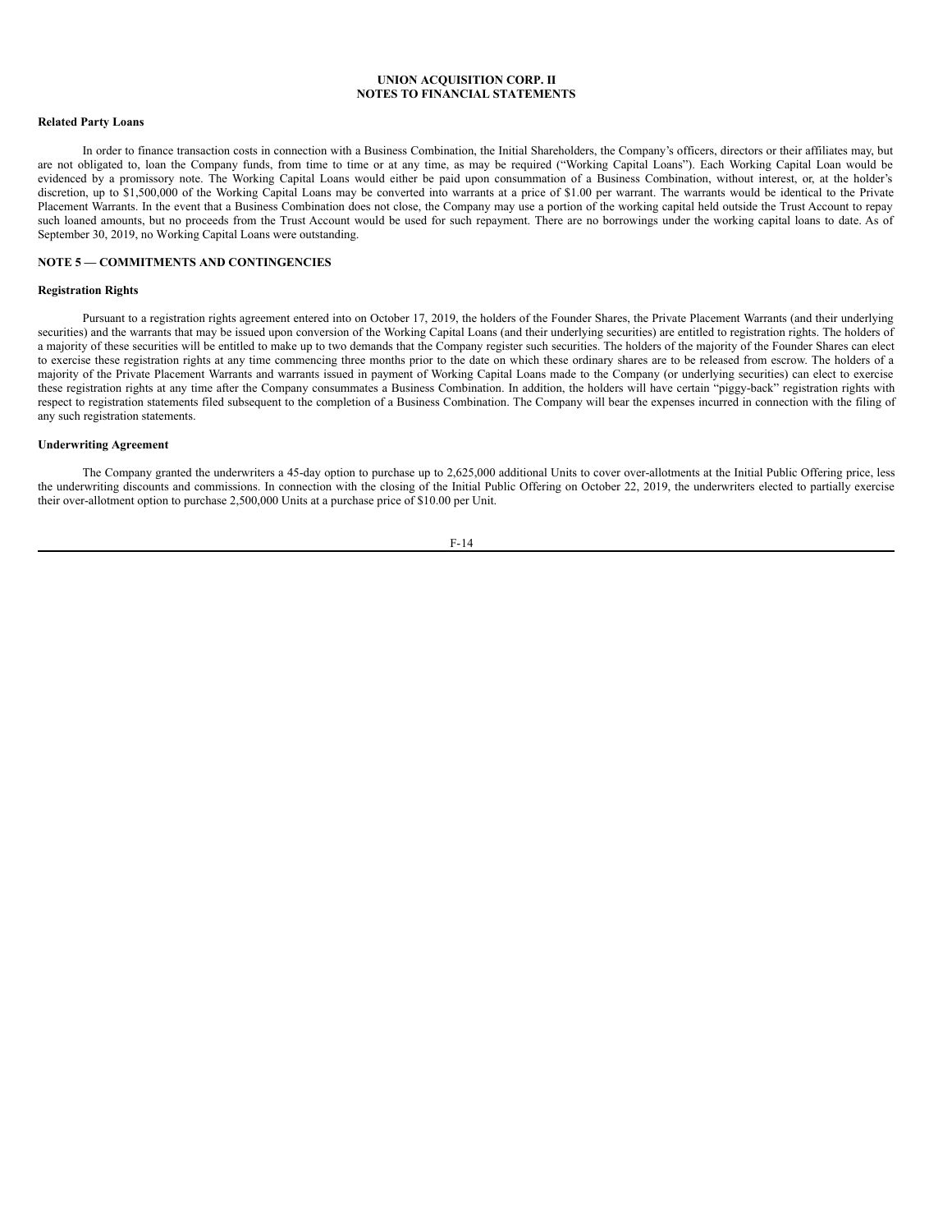#### **Related Party Loans**

In order to finance transaction costs in connection with a Business Combination, the Initial Shareholders, the Company's officers, directors or their affiliates may, but are not obligated to, loan the Company funds, from time to time or at any time, as may be required ("Working Capital Loans"). Each Working Capital Loan would be evidenced by a promissory note. The Working Capital Loans would either be paid upon consummation of a Business Combination, without interest, or, at the holder's discretion, up to \$1,500,000 of the Working Capital Loans may be converted into warrants at a price of \$1.00 per warrant. The warrants would be identical to the Private Placement Warrants. In the event that a Business Combination does not close, the Company may use a portion of the working capital held outside the Trust Account to repay such loaned amounts, but no proceeds from the Trust Account would be used for such repayment. There are no borrowings under the working capital loans to date. As of September 30, 2019, no Working Capital Loans were outstanding.

### **NOTE 5 — COMMITMENTS AND CONTINGENCIES**

### **Registration Rights**

Pursuant to a registration rights agreement entered into on October 17, 2019, the holders of the Founder Shares, the Private Placement Warrants (and their underlying securities) and the warrants that may be issued upon conversion of the Working Capital Loans (and their underlying securities) are entitled to registration rights. The holders of a majority of these securities will be entitled to make up to two demands that the Company register such securities. The holders of the majority of the Founder Shares can elect to exercise these registration rights at any time commencing three months prior to the date on which these ordinary shares are to be released from escrow. The holders of a majority of the Private Placement Warrants and warrants issued in payment of Working Capital Loans made to the Company (or underlying securities) can elect to exercise these registration rights at any time after the Company consummates a Business Combination. In addition, the holders will have certain "piggy-back" registration rights with respect to registration statements filed subsequent to the completion of a Business Combination. The Company will bear the expenses incurred in connection with the filing of any such registration statements.

### **Underwriting Agreement**

The Company granted the underwriters a 45-day option to purchase up to 2,625,000 additional Units to cover over-allotments at the Initial Public Offering price, less the underwriting discounts and commissions. In connection with the closing of the Initial Public Offering on October 22, 2019, the underwriters elected to partially exercise their over-allotment option to purchase 2,500,000 Units at a purchase price of \$10.00 per Unit.

$$
F-14
$$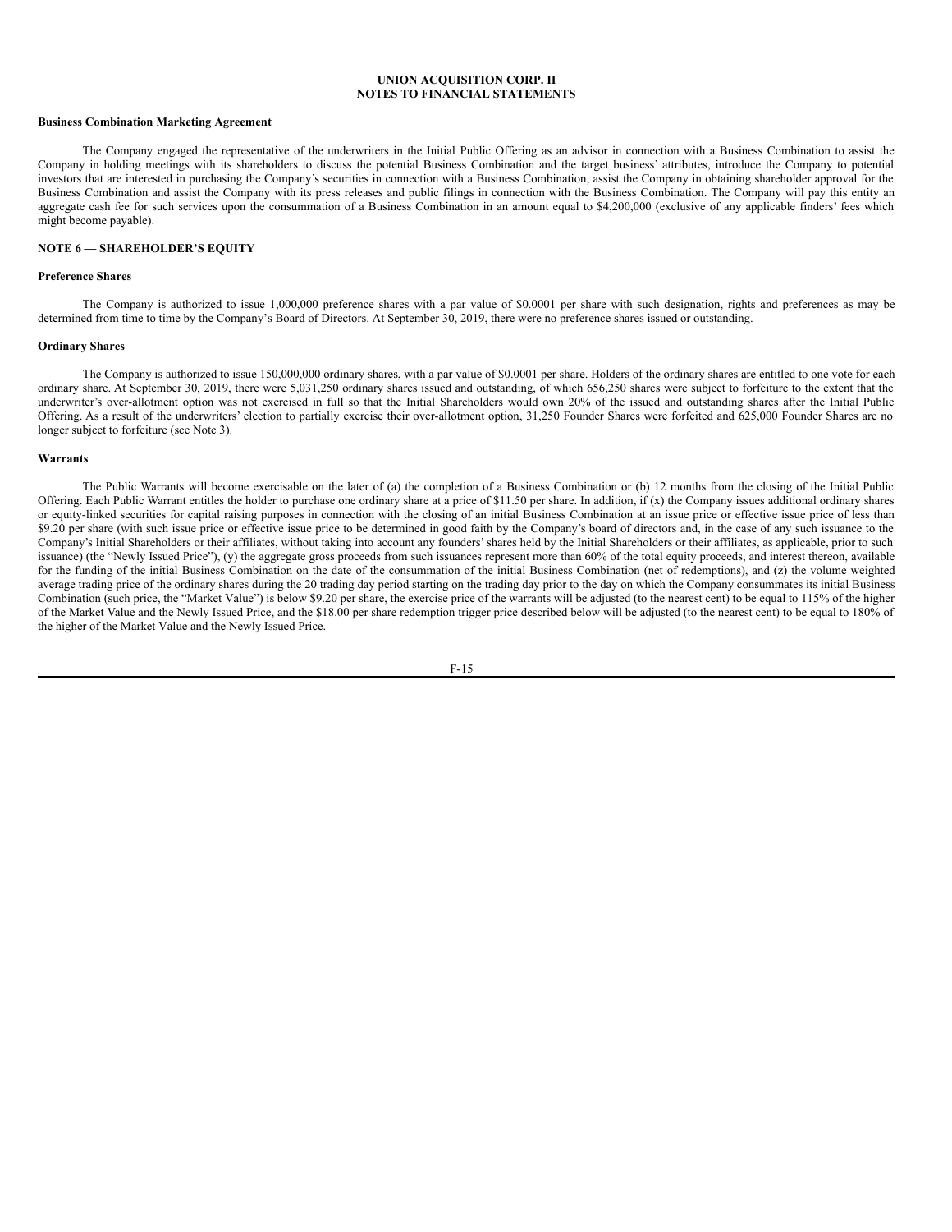#### **Business Combination Marketing Agreement**

The Company engaged the representative of the underwriters in the Initial Public Offering as an advisor in connection with a Business Combination to assist the Company in holding meetings with its shareholders to discuss the potential Business Combination and the target business' attributes, introduce the Company to potential investors that are interested in purchasing the Company's securities in connection with a Business Combination, assist the Company in obtaining shareholder approval for the Business Combination and assist the Company with its press releases and public filings in connection with the Business Combination. The Company will pay this entity an aggregate cash fee for such services upon the consummation of a Business Combination in an amount equal to \$4,200,000 (exclusive of any applicable finders' fees which might become payable).

# **NOTE 6 — SHAREHOLDER'S EQUITY**

### **Preference Shares**

The Company is authorized to issue 1,000,000 preference shares with a par value of \$0.0001 per share with such designation, rights and preferences as may be determined from time to time by the Company's Board of Directors. At September 30, 2019, there were no preference shares issued or outstanding.

#### **Ordinary Shares**

The Company is authorized to issue 150,000,000 ordinary shares, with a par value of \$0,0001 per share. Holders of the ordinary shares are entitled to one vote for each ordinary share. At September 30, 2019, there were 5,031,250 ordinary shares issued and outstanding, of which 656,250 shares were subject to forfeiture to the extent that the underwriter's over-allotment option was not exercised in full so that the Initial Shareholders would own 20% of the issued and outstanding shares after the Initial Public Offering. As a result of the underwriters' election to partially exercise their over-allotment option, 31,250 Founder Shares were forfeited and 625,000 Founder Shares are no longer subject to forfeiture (see Note 3).

#### **Warrants**

The Public Warrants will become exercisable on the later of (a) the completion of a Business Combination or (b) 12 months from the closing of the Initial Public Offering. Each Public Warrant entitles the holder to purchase one ordinary share at a price of \$11.50 per share. In addition, if (x) the Company issues additional ordinary shares or equity-linked securities for capital raising purposes in connection with the closing of an initial Business Combination at an issue price or effective issue price of less than \$9.20 per share (with such issue price or effective issue price to be determined in good faith by the Company's board of directors and, in the case of any such issuance to the Company's Initial Shareholders or their affiliates, without taking into account any founders'shares held by the Initial Shareholders or their affiliates, as applicable, prior to such issuance) (the "Newly Issued Price"), (y) the aggregate gross proceeds from such issuances represent more than 60% of the total equity proceeds, and interest thereon, available for the funding of the initial Business Combination on the date of the consummation of the initial Business Combination (net of redemptions), and (z) the volume weighted average trading price of the ordinary shares during the 20 trading day period starting on the trading day prior to the day on which the Company consummates its initial Business Combination (such price, the "Market Value") is below \$9.20 per share, the exercise price of the warrants will be adjusted (to the nearest cent) to be equal to 115% of the higher of the Market Value and the Newly Issued Price, and the \$18.00 per share redemption trigger price described below will be adjusted (to the nearest cent) to be equal to 180% of the higher of the Market Value and the Newly Issued Price.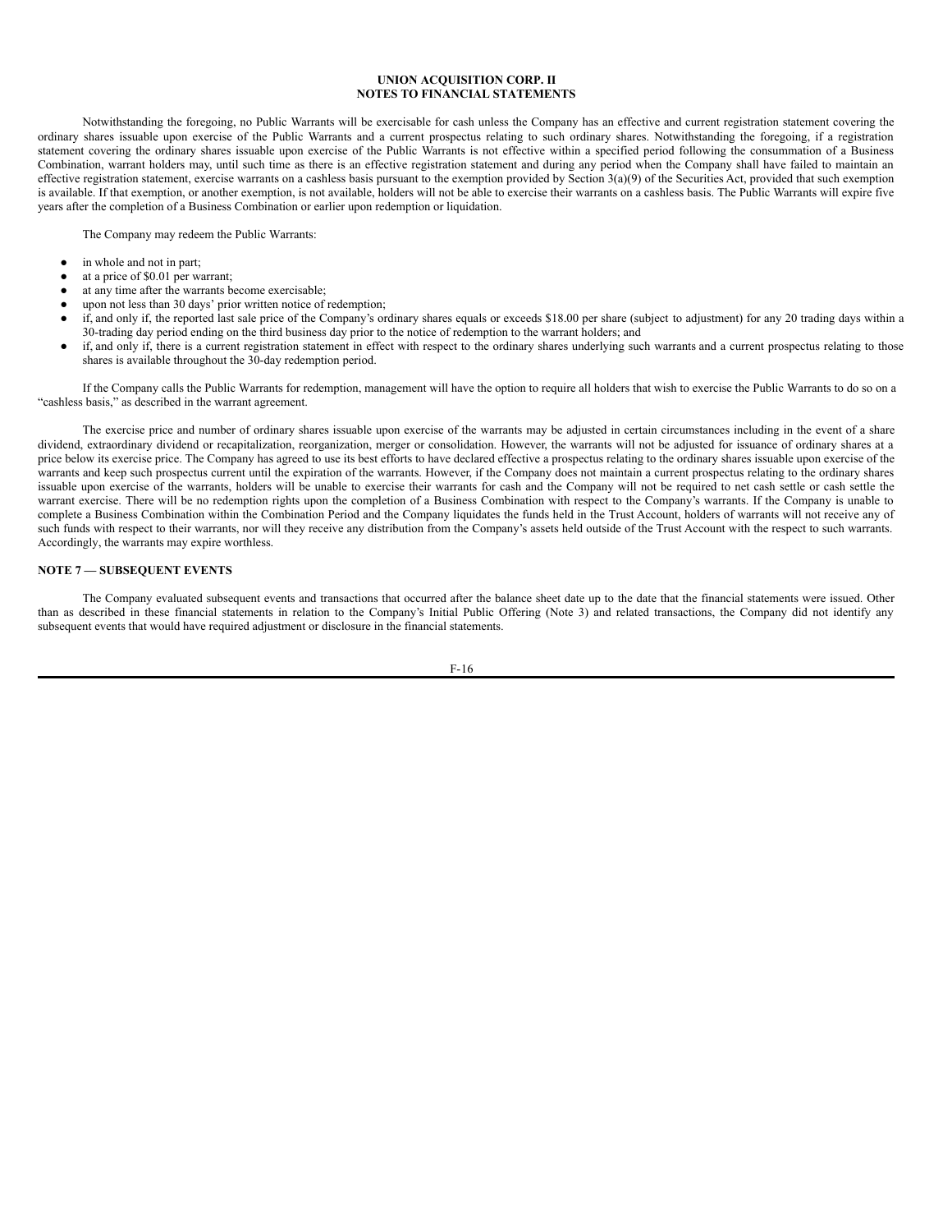Notwithstanding the foregoing, no Public Warrants will be exercisable for cash unless the Company has an effective and current registration statement covering the ordinary shares issuable upon exercise of the Public Warrants and a current prospectus relating to such ordinary shares. Notwithstanding the foregoing, if a registration statement covering the ordinary shares issuable upon exercise of the Public Warrants is not effective within a specified period following the consummation of a Business Combination, warrant holders may, until such time as there is an effective registration statement and during any period when the Company shall have failed to maintain an effective registration statement, exercise warrants on a cashless basis pursuant to the exemption provided by Section  $3(a)(9)$  of the Securities Act, provided that such exemption is available. If that exemption, or another exemption, is not available, holders will not be able to exercise their warrants on a cashless basis. The Public Warrants will expire five years after the completion of a Business Combination or earlier upon redemption or liquidation.

The Company may redeem the Public Warrants:

- in whole and not in part;
- at a price of \$0.01 per warrant;
- at any time after the warrants become exercisable;
- upon not less than 30 days' prior written notice of redemption;
- if, and only if, the reported last sale price of the Company's ordinary shares equals or exceeds \$18.00 per share (subject to adjustment) for any 20 trading days within a 30-trading day period ending on the third business day prior to the notice of redemption to the warrant holders; and
- if, and only if, there is a current registration statement in effect with respect to the ordinary shares underlying such warrants and a current prospectus relating to those shares is available throughout the 30-day redemption period.

If the Company calls the Public Warrants for redemption, management will have the option to require all holders that wish to exercise the Public Warrants to do so on a "cashless basis," as described in the warrant agreement.

The exercise price and number of ordinary shares issuable upon exercise of the warrants may be adjusted in certain circumstances including in the event of a share dividend, extraordinary dividend or recapitalization, reorganization, merger or consolidation. However, the warrants will not be adjusted for issuance of ordinary shares at a price below its exercise price. The Company has agreed to use its best efforts to have declared effective a prospectus relating to the ordinary shares issuable upon exercise of the warrants and keep such prospectus current until the expiration of the warrants. However, if the Company does not maintain a current prospectus relating to the ordinary shares issuable upon exercise of the warrants, holders will be unable to exercise their warrants for cash and the Company will not be required to net cash settle or cash settle the warrant exercise. There will be no redemption rights upon the completion of a Business Combination with respect to the Company's warrants. If the Company is unable to complete a Business Combination within the Combination Period and the Company liquidates the funds held in the Trust Account, holders of warrants will not receive any of such funds with respect to their warrants, nor will they receive any distribution from the Company's assets held outside of the Trust Account with the respect to such warrants. Accordingly, the warrants may expire worthless.

### **NOTE 7 — SUBSEQUENT EVENTS**

The Company evaluated subsequent events and transactions that occurred after the balance sheet date up to the date that the financial statements were issued. Other than as described in these financial statements in relation to the Company's Initial Public Offering (Note 3) and related transactions, the Company did not identify any subsequent events that would have required adjustment or disclosure in the financial statements.

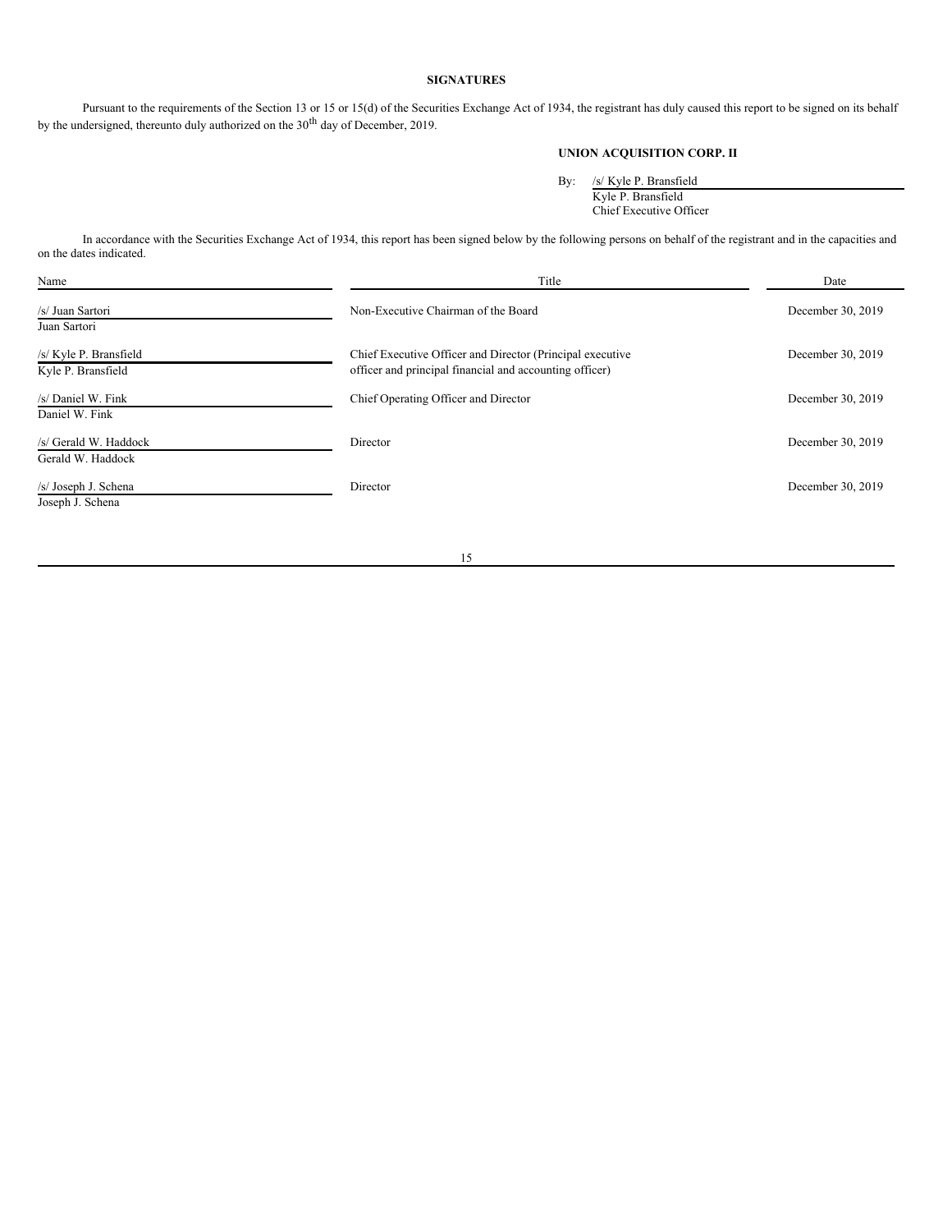# **SIGNATURES**

Pursuant to the requirements of the Section 13 or 15 or 15(d) of the Securities Exchange Act of 1934, the registrant has duly caused this report to be signed on its behalf by the undersigned, thereunto duly authorized on the  $30<sup>th</sup>$  day of December, 2019.

# **UNION ACQUISITION CORP. II**

By: /s/ Kyle P. Bransfield

Kyle P. Bransfield Chief Executive Officer

In accordance with the Securities Exchange Act of 1934, this report has been signed below by the following persons on behalf of the registrant and in the capacities and on the dates indicated.

| Name                                         | Title                                                                                                                | Date              |
|----------------------------------------------|----------------------------------------------------------------------------------------------------------------------|-------------------|
| /s/ Juan Sartori<br>Juan Sartori             | Non-Executive Chairman of the Board                                                                                  | December 30, 2019 |
| /s/ Kyle P. Bransfield<br>Kyle P. Bransfield | Chief Executive Officer and Director (Principal executive<br>officer and principal financial and accounting officer) | December 30, 2019 |
| /s/ Daniel W. Fink<br>Daniel W. Fink         | Chief Operating Officer and Director                                                                                 | December 30, 2019 |
| /s/ Gerald W. Haddock<br>Gerald W. Haddock   | Director                                                                                                             | December 30, 2019 |
| /s/ Joseph J. Schena<br>Joseph J. Schena     | Director                                                                                                             | December 30, 2019 |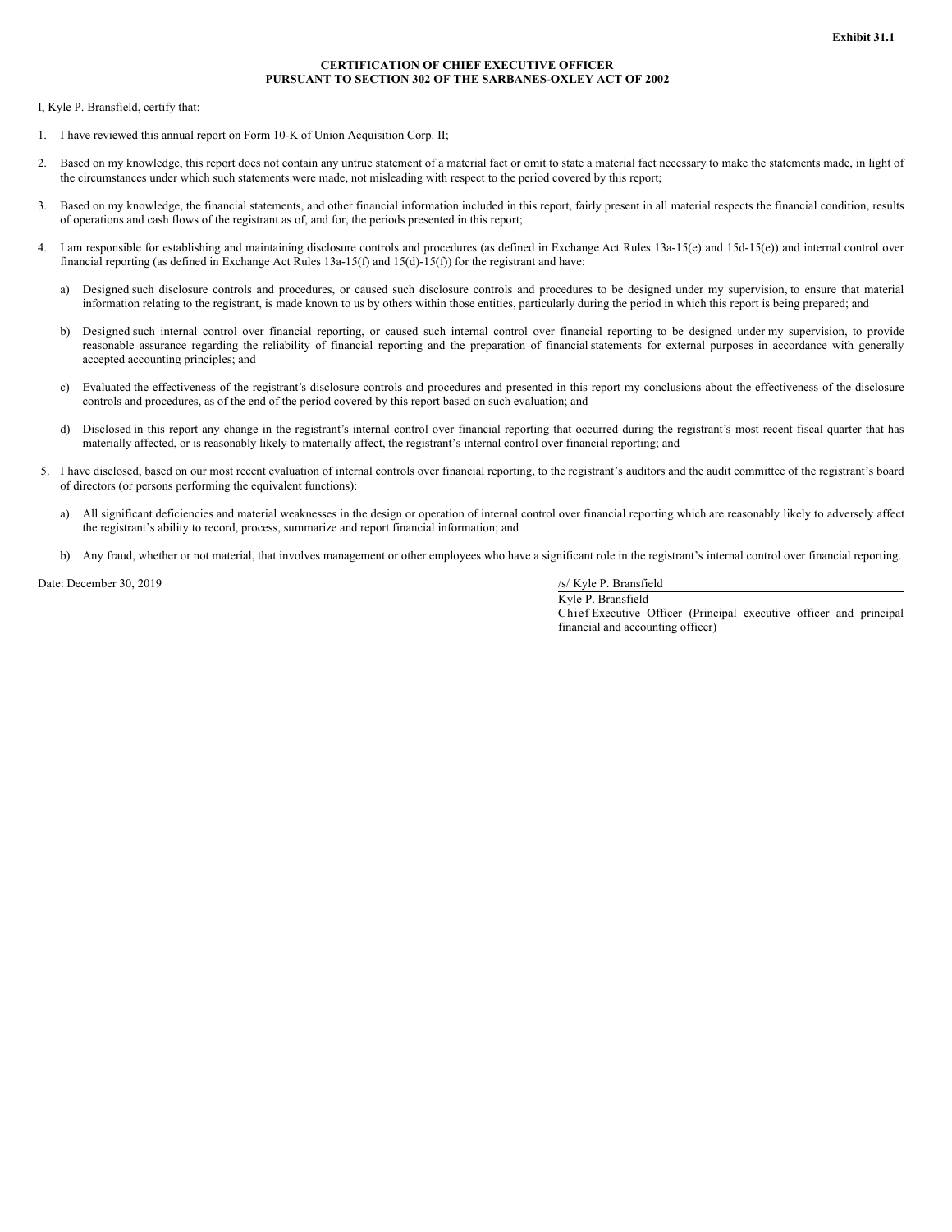### **CERTIFICATION OF CHIEF EXECUTIVE OFFICER PURSUANT TO SECTION 302 OF THE SARBANES-OXLEY ACT OF 2002**

<span id="page-33-0"></span>I, Kyle P. Bransfield, certify that:

- 1. I have reviewed this annual report on Form 10-K of Union Acquisition Corp. II;
- 2. Based on my knowledge, this report does not contain any untrue statement of a material fact or omit to state a material fact necessary to make the statements made, in light of the circumstances under which such statements were made, not misleading with respect to the period covered by this report;
- 3. Based on my knowledge, the financial statements, and other financial information included in this report, fairly present in all material respects the financial condition, results of operations and cash flows of the registrant as of, and for, the periods presented in this report;
- 4. I am responsible for establishing and maintaining disclosure controls and procedures (as defined in Exchange Act Rules 13a-15(e) and 15d-15(e)) and internal control over financial reporting (as defined in Exchange Act Rules 13a-15(f) and 15(d)-15(f)) for the registrant and have:
	- a) Designed such disclosure controls and procedures, or caused such disclosure controls and procedures to be designed under my supervision, to ensure that material information relating to the registrant, is made known to us by others within those entities, particularly during the period in which this report is being prepared; and
	- b) Designed such internal control over financial reporting, or caused such internal control over financial reporting to be designed under my supervision, to provide reasonable assurance regarding the reliability of financial reporting and the preparation of financial statements for external purposes in accordance with generally accepted accounting principles; and
	- c) Evaluated the effectiveness of the registrant's disclosure controls and procedures and presented in this report my conclusions about the effectiveness of the disclosure controls and procedures, as of the end of the period covered by this report based on such evaluation; and
	- d) Disclosed in this report any change in the registrant's internal control over financial reporting that occurred during the registrant's most recent fiscal quarter that has materially affected, or is reasonably likely to materially affect, the registrant's internal control over financial reporting; and
- 5. I have disclosed, based on our most recent evaluation of internal controls over financial reporting, to the registrant's auditors and the audit committee of the registrant's board of directors (or persons performing the equivalent functions):
	- a) All significant deficiencies and material weaknesses in the design or operation of internal control over financial reporting which are reasonably likely to adversely affect the registrant's ability to record, process, summarize and report financial information; and
	- b) Any fraud, whether or not material, that involves management or other employees who have a significant role in the registrant's internal control over financial reporting.

Date: December 30, 2019 /s/ Kyle P. Bransfield

Kyle P. Bransfield Chief Executive Officer (Principal executive officer and principal financial and accounting officer)